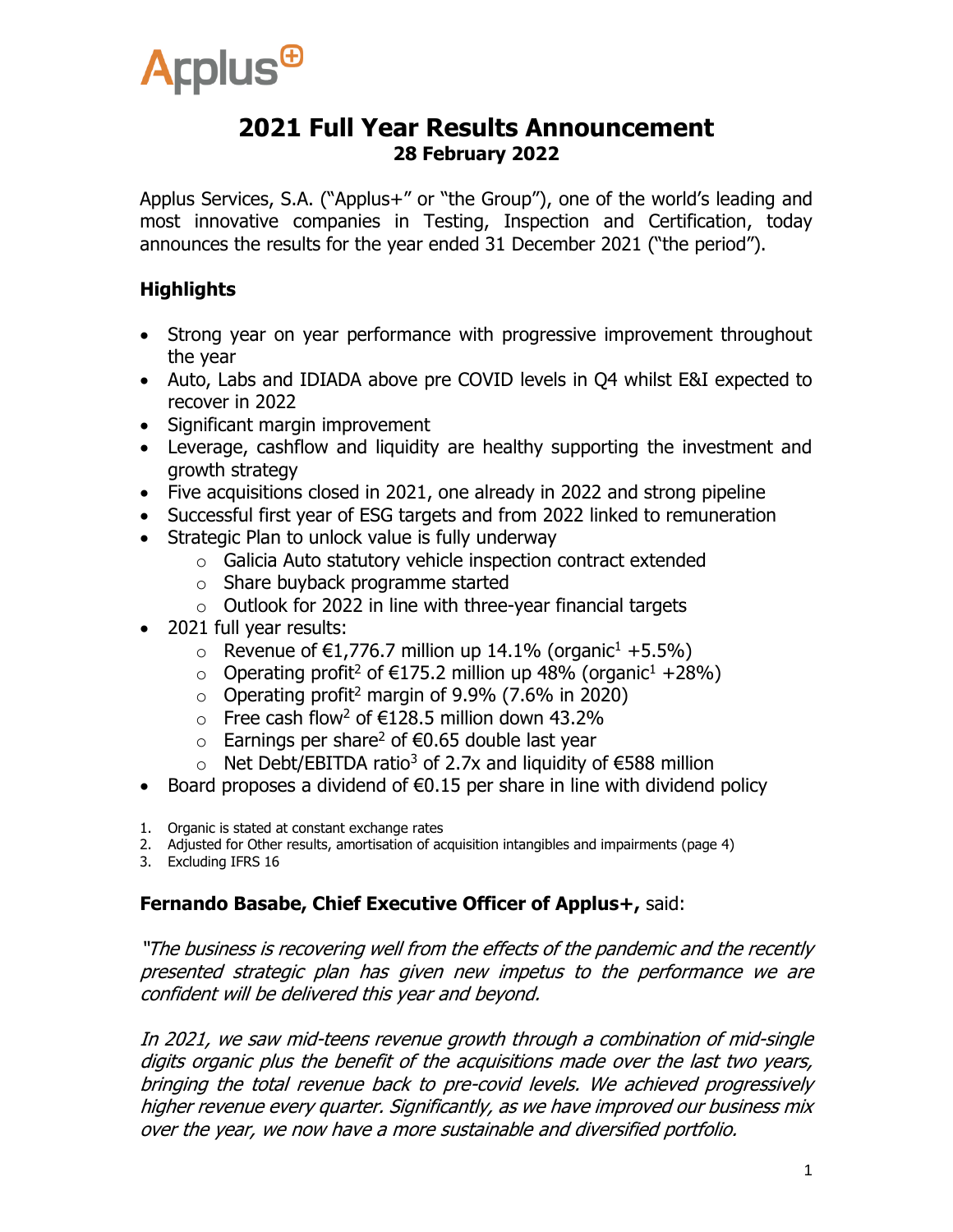

### **2021 Full Year Results Announcement 28 February 2022**

Applus Services, S.A. ("Applus+" or "the Group"), one of the world's leading and most innovative companies in Testing, Inspection and Certification, today announces the results for the year ended 31 December 2021 ("the period").

#### **Highlights**

- Strong year on year performance with progressive improvement throughout the year
- Auto, Labs and IDIADA above pre COVID levels in Q4 whilst E&I expected to recover in 2022
- Significant margin improvement
- Leverage, cashflow and liquidity are healthy supporting the investment and growth strategy
- Five acquisitions closed in 2021, one already in 2022 and strong pipeline
- Successful first year of ESG targets and from 2022 linked to remuneration
- Strategic Plan to unlock value is fully underway
	- o Galicia Auto statutory vehicle inspection contract extended
	- o Share buyback programme started
	- $\circ$  Outlook for 2022 in line with three-year financial targets
- 2021 full year results:
	- $\circ$  Revenue of €1,776.7 million up 14.1% (organic<sup>1</sup> +5.5%)
	- o Operating profit<sup>2</sup> of €175.2 million up 48% (organic<sup>1</sup> +28%)
	- $\circ$  Operating profit<sup>2</sup> margin of 9.9% (7.6% in 2020)
	- $\circ$  Free cash flow<sup>2</sup> of €128.5 million down 43.2%
	- $\circ$  Earnings per share<sup>2</sup> of €0.65 double last year
	- o Net Debt/EBITDA ratio<sup>3</sup> of 2.7x and liquidity of €588 million
- Board proposes a dividend of  $\epsilon$ 0.15 per share in line with dividend policy
- 1. Organic is stated at constant exchange rates
- 2. Adjusted for Other results, amortisation of acquisition intangibles and impairments (page 4)
- 3. Excluding IFRS 16

#### **Fernando Basabe, Chief Executive Officer of Applus+,** said:

"The business is recovering well from the effects of the pandemic and the recently presented strategic plan has given new impetus to the performance we are confident will be delivered this year and beyond.

In 2021, we saw mid-teens revenue growth through a combination of mid-single digits organic plus the benefit of the acquisitions made over the last two years, bringing the total revenue back to pre-covid levels. We achieved progressively higher revenue every quarter. Significantly, as we have improved our business mix over the year, we now have a more sustainable and diversified portfolio.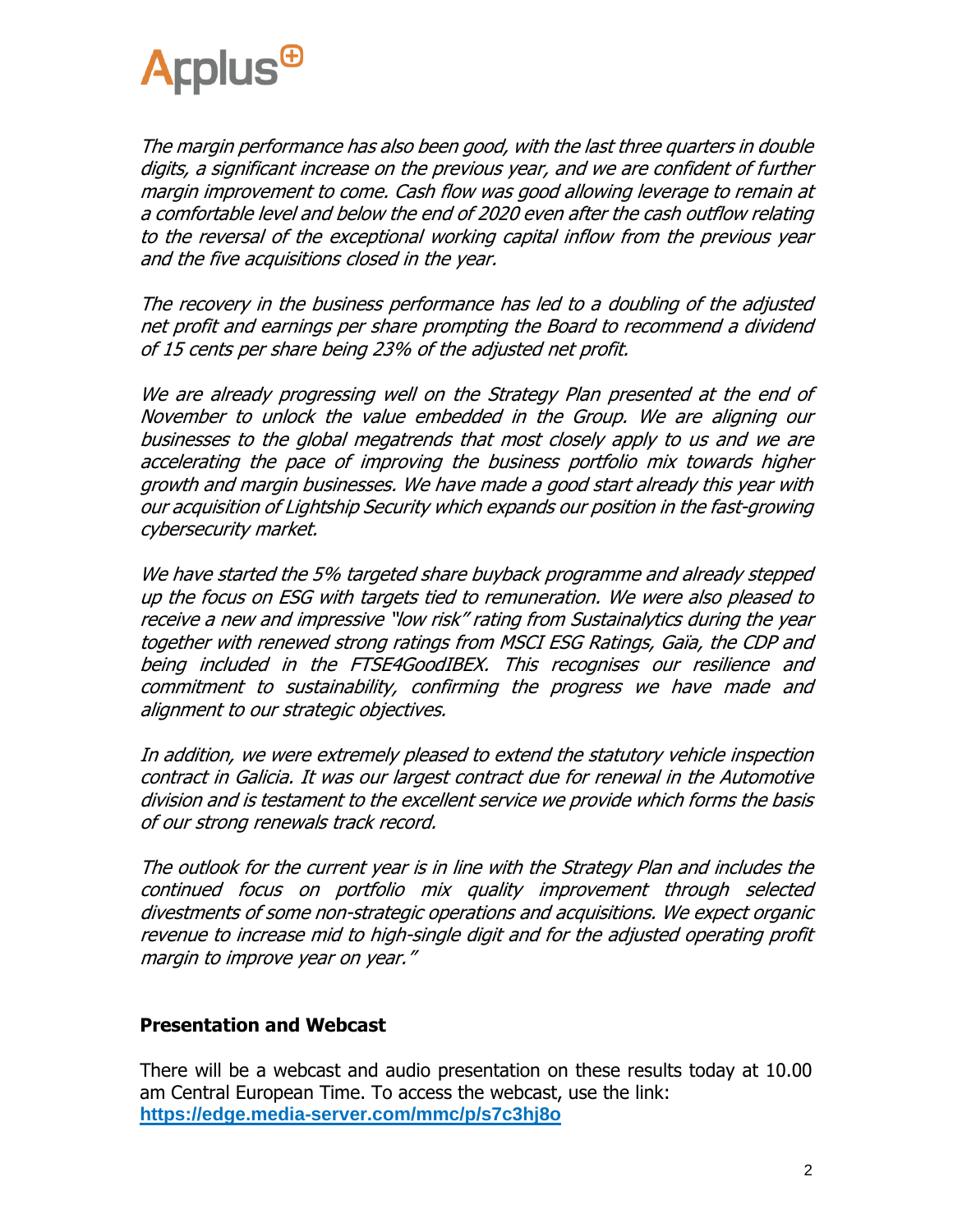

The margin performance has also been good, with the last three quarters in double digits, a significant increase on the previous year, and we are confident of further margin improvement to come. Cash flow was good allowing leverage to remain at a comfortable level and below the end of 2020 even after the cash outflow relating to the reversal of the exceptional working capital inflow from the previous year and the five acquisitions closed in the year.

The recovery in the business performance has led to a doubling of the adjusted net profit and earnings per share prompting the Board to recommend a dividend of 15 cents per share being 23% of the adjusted net profit.

We are already progressing well on the Strategy Plan presented at the end of November to unlock the value embedded in the Group. We are aligning our businesses to the global megatrends that most closely apply to us and we are accelerating the pace of improving the business portfolio mix towards higher growth and margin businesses. We have made a good start already this year with our acquisition of Lightship Security which expands our position in the fast-growing cybersecurity market.

We have started the 5% targeted share buyback programme and already stepped up the focus on ESG with targets tied to remuneration. We were also pleased to receive a new and impressive "low risk" rating from Sustainalytics during the year together with renewed strong ratings from MSCI ESG Ratings, Gaïa, the CDP and being included in the FTSE4GoodIBEX. This recognises our resilience and commitment to sustainability, confirming the progress we have made and alignment to our strategic objectives.

In addition, we were extremely pleased to extend the statutory vehicle inspection contract in Galicia. It was our largest contract due for renewal in the Automotive division and is testament to the excellent service we provide which forms the basis of our strong renewals track record.

The outlook for the current year is in line with the Strategy Plan and includes the continued focus on portfolio mix quality improvement through selected divestments of some non-strategic operations and acquisitions. We expect organic revenue to increase mid to high-single digit and for the adjusted operating profit margin to improve year on year."

#### **Presentation and Webcast**

There will be a webcast and audio presentation on these results today at 10.00 am Central European Time. To access the webcast, use the link: **<https://edge.media-server.com/mmc/p/s7c3hj8o>**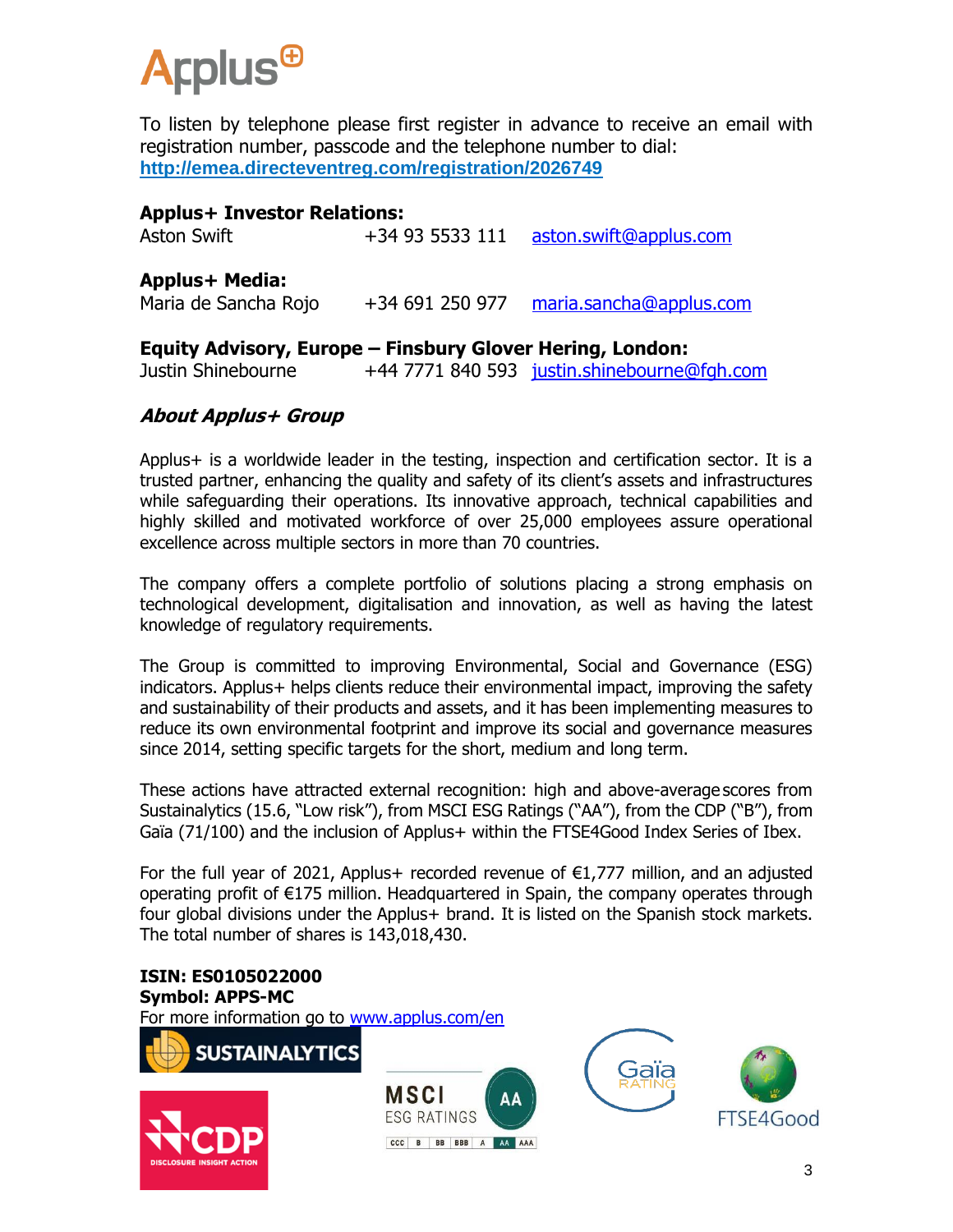

To listen by telephone please first register in advance to receive an email with registration number, passcode and the telephone number to dial: **<http://emea.directeventreg.com/registration/2026749>**

#### **Applus+ Investor Relations:**

Aston Swift +34 93 5533 111 [aston.swift@applus.com](mailto:aston.swift@applus.com)

#### **Applus+ Media:**

Maria de Sancha Rojo +34 691 250 977 [maria.sancha@applus.com](mailto:maria.sancha@applus.com)

#### **Equity Advisory, Europe – Finsbury Glover Hering, London:**

Justin Shinebourne +44 7771 840 593 [justin.shinebourne@fgh.com](mailto:justin.shinebourne@fgh.com)

#### **About Applus+ Group**

Applus+ is a worldwide leader in the testing, inspection and certification sector. It is a trusted partner, enhancing the quality and safety of its client's assets and infrastructures while safeguarding their operations. Its innovative approach, technical capabilities and highly skilled and motivated workforce of over 25,000 employees assure operational excellence across multiple sectors in more than 70 countries.

The company offers a complete portfolio of solutions placing a strong emphasis on technological development, digitalisation and innovation, as well as having the latest knowledge of regulatory requirements.

The Group is committed to improving Environmental, Social and Governance (ESG) indicators. Applus+ helps clients reduce their environmental impact, improving the safety and sustainability of their products and assets, and it has been implementing measures to reduce its own environmental footprint and improve its social and governance measures since 2014, setting specific targets for the short, medium and long term.

These actions have attracted external recognition: high and above-average scores from Sustainalytics (15.6, "Low risk"), from MSCI ESG Ratings ("AA"), from the CDP ("B"), from Gaïa (71/100) and the inclusion of Applus+ within the FTSE4Good Index Series of Ibex.

For the full year of 2021, Applus+ recorded revenue of  $E1,777$  million, and an adjusted operating profit of €175 million. Headquartered in Spain, the company operates through four global divisions under the Applus+ brand. It is listed on the Spanish stock markets. The total number of shares is 143,018,430.

#### **ISIN: ES0105022000 Symbol: APPS-MC**

For more information go to [www.applus.com/en](http://www.applus.com/en)







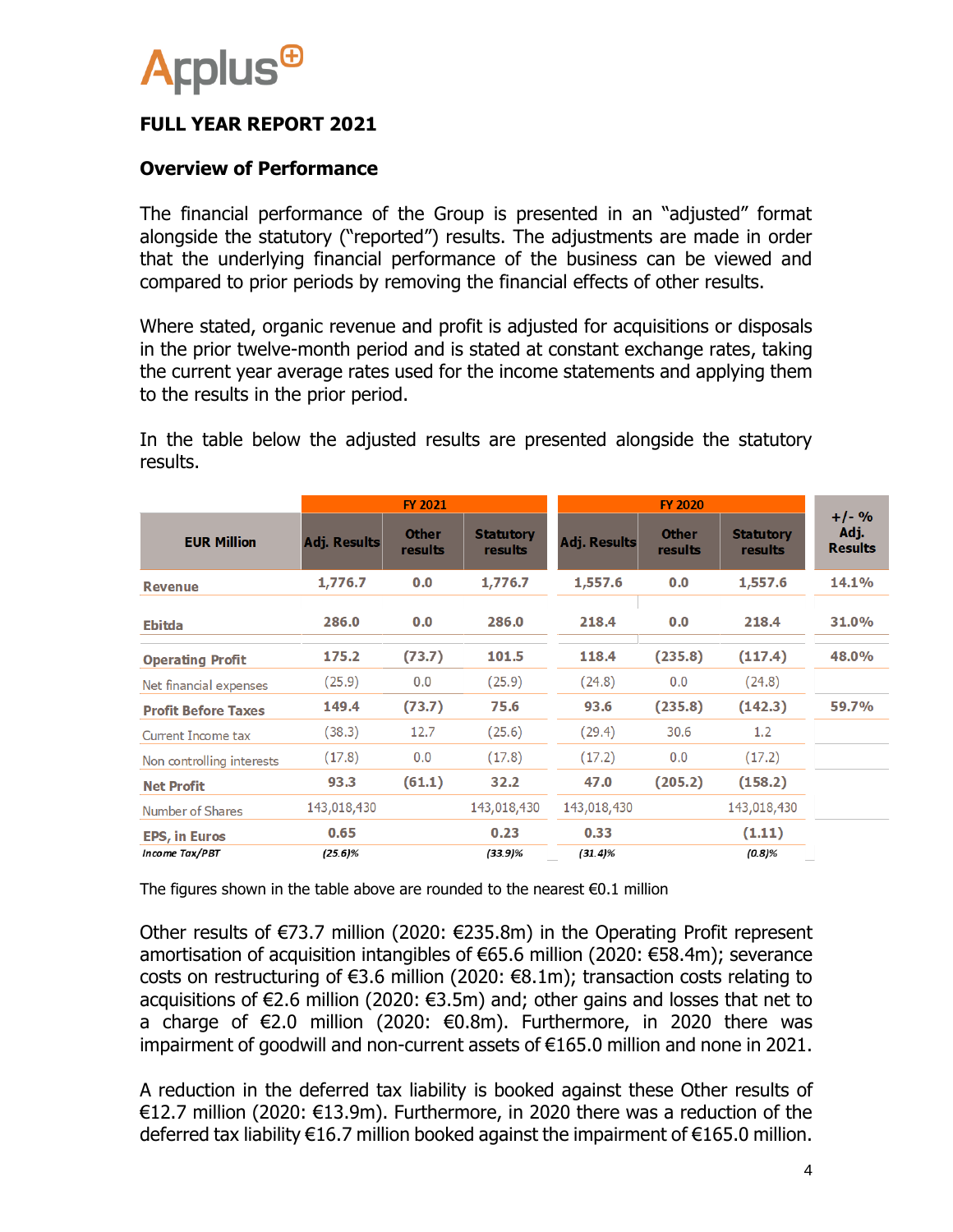

#### **FULL YEAR REPORT 2021**

#### **Overview of Performance**

The financial performance of the Group is presented in an "adjusted" format alongside the statutory ("reported") results. The adjustments are made in order that the underlying financial performance of the business can be viewed and compared to prior periods by removing the financial effects of other results.

Where stated, organic revenue and profit is adjusted for acquisitions or disposals in the prior twelve-month period and is stated at constant exchange rates, taking the current year average rates used for the income statements and applying them to the results in the prior period.

In the table below the adjusted results are presented alongside the statutory results.

|                            |                     | <b>FY 2021</b>          |                             | <b>FY 2020</b>      |                         |                             |                                   |  |
|----------------------------|---------------------|-------------------------|-----------------------------|---------------------|-------------------------|-----------------------------|-----------------------------------|--|
| <b>EUR Million</b>         | <b>Adj. Results</b> | <b>Other</b><br>results | <b>Statutory</b><br>results | <b>Adj. Results</b> | <b>Other</b><br>results | <b>Statutory</b><br>results | $+/-$ %<br>Adj.<br><b>Results</b> |  |
| <b>Revenue</b>             | 1,776.7             | 0.0                     | 1,776.7                     | 1,557.6             | 0.0                     | 1,557.6                     | <b>14.1%</b>                      |  |
| <b>Ebitda</b>              | 286.0               | 0.0                     | 286.0                       | 218.4               | 0.0                     | 218.4                       | 31.0%                             |  |
| <b>Operating Profit</b>    | 175.2               | (73.7)                  | 101.5                       | 118.4               | (235.8)                 | (117.4)                     | 48.0%                             |  |
| Net financial expenses     | (25.9)              | 0.0                     | (25.9)                      | (24.8)              | 0.0                     | (24.8)                      |                                   |  |
| <b>Profit Before Taxes</b> | 149.4               | (73.7)                  | 75.6                        | 93.6                | (235.8)                 | (142.3)                     | 59.7%                             |  |
| Current Income tax         | (38.3)              | 12.7                    | (25.6)                      | (29.4)              | 30.6                    | 1.2                         |                                   |  |
| Non controlling interests  | (17.8)              | 0.0                     | (17.8)                      | (17.2)              | 0.0                     | (17.2)                      |                                   |  |
| <b>Net Profit</b>          | 93.3                | (61.1)                  | 32.2                        | 47.0                | (205.2)                 | (158.2)                     |                                   |  |
| Number of Shares           | 143,018,430         |                         | 143,018,430                 | 143,018,430         |                         | 143,018,430                 |                                   |  |
| <b>EPS, in Euros</b>       | 0.65                |                         | 0.23                        | 0.33                |                         | (1.11)                      |                                   |  |
| Income Tax/PBT             | $(25.6)\%$          |                         | $(33.9)\%$                  | $(31.4)\%$          |                         | (0.8)%                      |                                   |  |

The figures shown in the table above are rounded to the nearest  $\epsilon$ 0.1 million

Other results of €73.7 million (2020: €235.8m) in the Operating Profit represent amortisation of acquisition intangibles of €65.6 million (2020: €58.4m); severance costs on restructuring of €3.6 million (2020: €8.1m); transaction costs relating to acquisitions of €2.6 million (2020: €3.5m) and; other gains and losses that net to a charge of €2.0 million (2020: €0.8m). Furthermore, in 2020 there was impairment of goodwill and non-current assets of €165.0 million and none in 2021.

A reduction in the deferred tax liability is booked against these Other results of €12.7 million (2020: €13.9m). Furthermore, in 2020 there was a reduction of the deferred tax liability  $\epsilon$ 16.7 million booked against the impairment of  $\epsilon$ 165.0 million.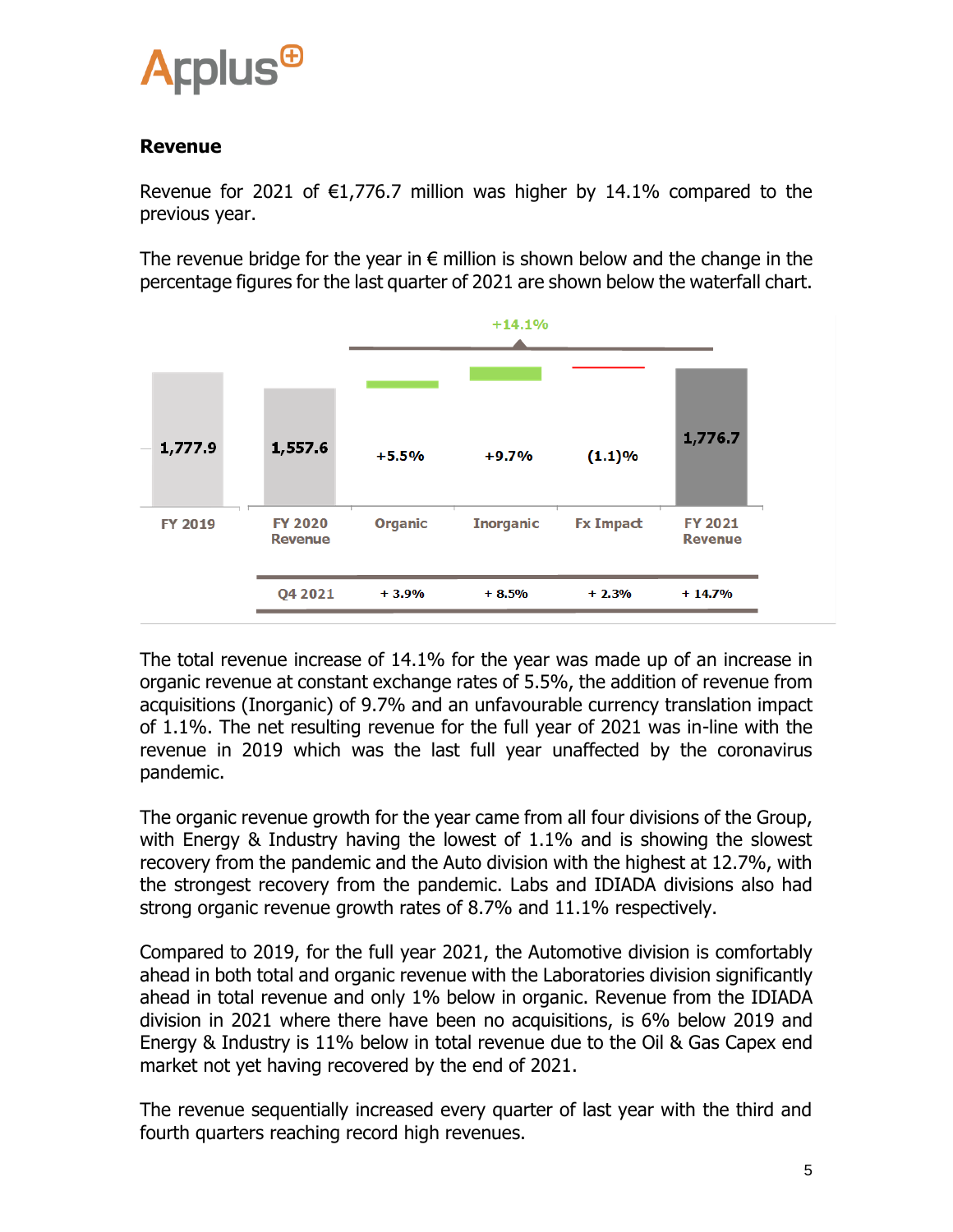

#### **Revenue**

Revenue for 2021 of  $\epsilon$ 1,776.7 million was higher by 14.1% compared to the previous year.

The revenue bridge for the year in  $\epsilon$  million is shown below and the change in the percentage figures for the last quarter of 2021 are shown below the waterfall chart.



The total revenue increase of 14.1% for the year was made up of an increase in organic revenue at constant exchange rates of 5.5%, the addition of revenue from acquisitions (Inorganic) of 9.7% and an unfavourable currency translation impact of 1.1%. The net resulting revenue for the full year of 2021 was in-line with the revenue in 2019 which was the last full year unaffected by the coronavirus pandemic.

The organic revenue growth for the year came from all four divisions of the Group, with Energy & Industry having the lowest of 1.1% and is showing the slowest recovery from the pandemic and the Auto division with the highest at 12.7%, with the strongest recovery from the pandemic. Labs and IDIADA divisions also had strong organic revenue growth rates of 8.7% and 11.1% respectively.

Compared to 2019, for the full year 2021, the Automotive division is comfortably ahead in both total and organic revenue with the Laboratories division significantly ahead in total revenue and only 1% below in organic. Revenue from the IDIADA division in 2021 where there have been no acquisitions, is 6% below 2019 and Energy & Industry is 11% below in total revenue due to the Oil & Gas Capex end market not yet having recovered by the end of 2021.

The revenue sequentially increased every quarter of last year with the third and fourth quarters reaching record high revenues.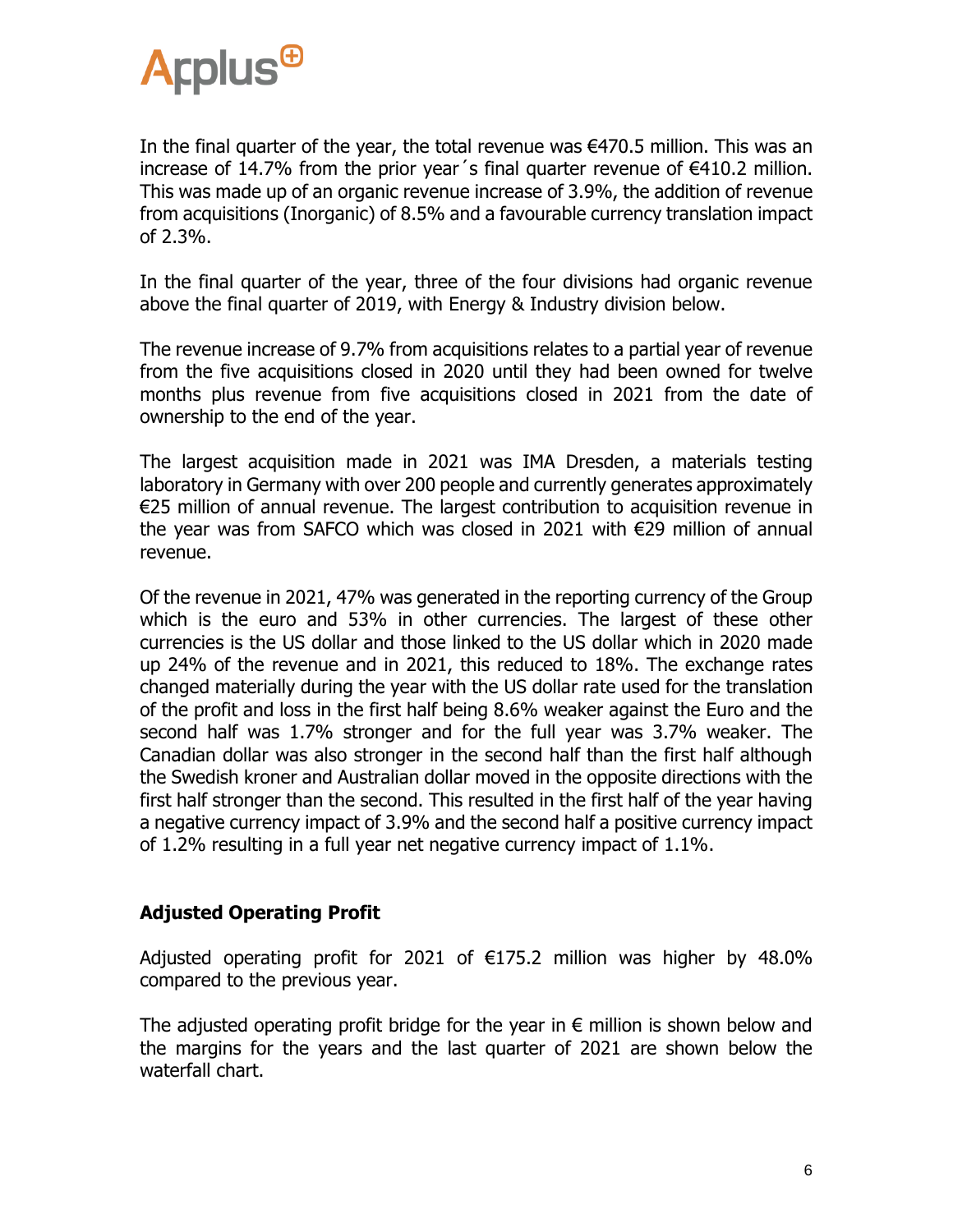

In the final quarter of the year, the total revenue was  $\epsilon$ 470.5 million. This was an increase of 14.7% from the prior year's final quarter revenue of  $\epsilon$ 410.2 million. This was made up of an organic revenue increase of 3.9%, the addition of revenue from acquisitions (Inorganic) of 8.5% and a favourable currency translation impact of 2.3%.

In the final quarter of the year, three of the four divisions had organic revenue above the final quarter of 2019, with Energy & Industry division below.

The revenue increase of 9.7% from acquisitions relates to a partial year of revenue from the five acquisitions closed in 2020 until they had been owned for twelve months plus revenue from five acquisitions closed in 2021 from the date of ownership to the end of the year.

The largest acquisition made in 2021 was IMA Dresden, a materials testing laboratory in Germany with over 200 people and currently generates approximately €25 million of annual revenue. The largest contribution to acquisition revenue in the year was from SAFCO which was closed in 2021 with €29 million of annual revenue.

Of the revenue in 2021, 47% was generated in the reporting currency of the Group which is the euro and 53% in other currencies. The largest of these other currencies is the US dollar and those linked to the US dollar which in 2020 made up 24% of the revenue and in 2021, this reduced to 18%. The exchange rates changed materially during the year with the US dollar rate used for the translation of the profit and loss in the first half being 8.6% weaker against the Euro and the second half was 1.7% stronger and for the full year was 3.7% weaker. The Canadian dollar was also stronger in the second half than the first half although the Swedish kroner and Australian dollar moved in the opposite directions with the first half stronger than the second. This resulted in the first half of the year having a negative currency impact of 3.9% and the second half a positive currency impact of 1.2% resulting in a full year net negative currency impact of 1.1%.

#### **Adjusted Operating Profit**

Adjusted operating profit for 2021 of  $E175.2$  million was higher by 48.0% compared to the previous year.

The adjusted operating profit bridge for the year in  $\epsilon$  million is shown below and the margins for the years and the last quarter of 2021 are shown below the waterfall chart.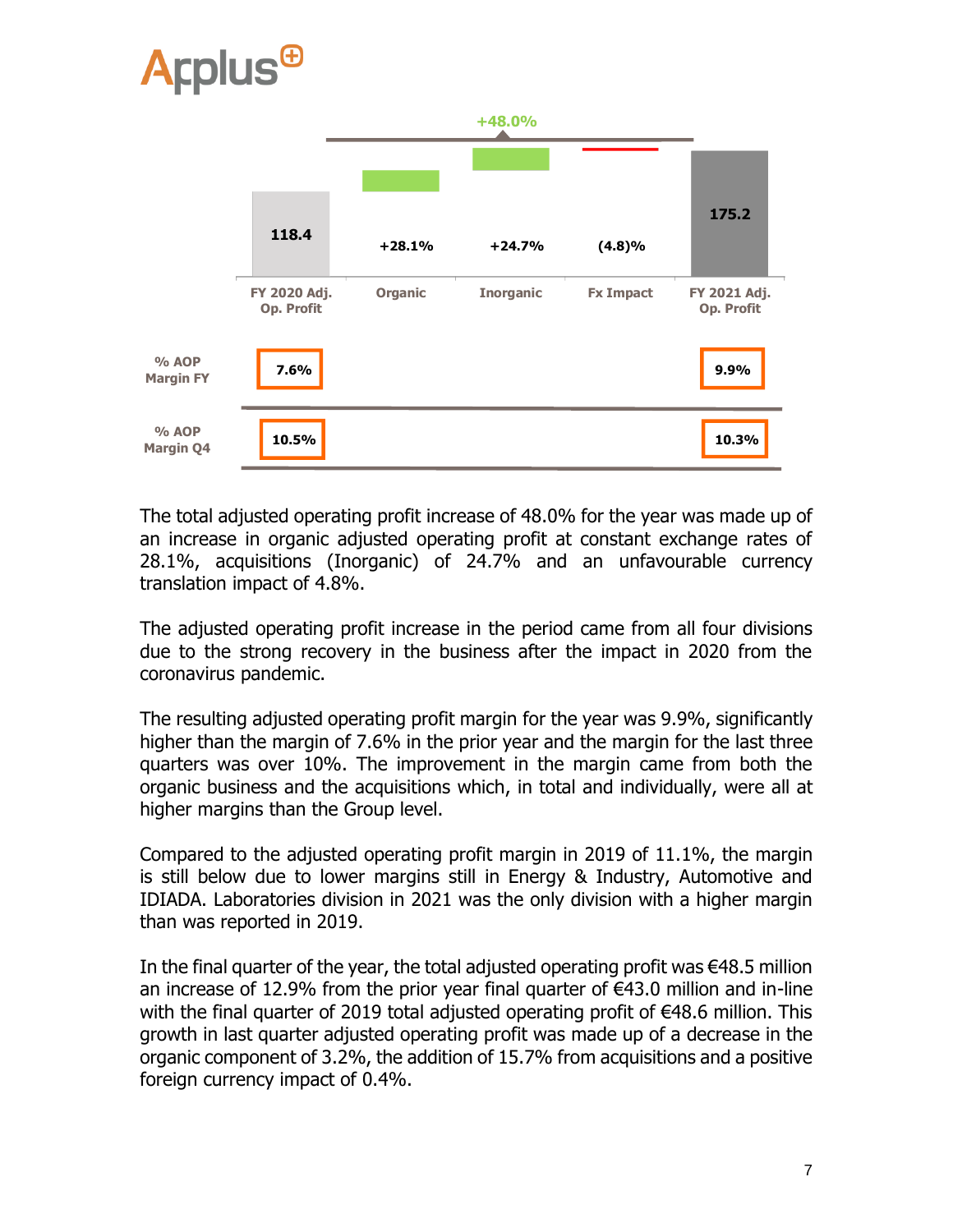

The total adjusted operating profit increase of 48.0% for the year was made up of an increase in organic adjusted operating profit at constant exchange rates of 28.1%, acquisitions (Inorganic) of 24.7% and an unfavourable currency translation impact of 4.8%.

The adjusted operating profit increase in the period came from all four divisions due to the strong recovery in the business after the impact in 2020 from the coronavirus pandemic.

The resulting adjusted operating profit margin for the year was 9.9%, significantly higher than the margin of 7.6% in the prior year and the margin for the last three quarters was over 10%. The improvement in the margin came from both the organic business and the acquisitions which, in total and individually, were all at higher margins than the Group level.

Compared to the adjusted operating profit margin in 2019 of 11.1%, the margin is still below due to lower margins still in Energy & Industry, Automotive and IDIADA. Laboratories division in 2021 was the only division with a higher margin than was reported in 2019.

In the final quarter of the year, the total adjusted operating profit was  $\epsilon$ 48.5 million an increase of 12.9% from the prior year final quarter of  $\epsilon$ 43.0 million and in-line with the final quarter of 2019 total adjusted operating profit of €48.6 million. This growth in last quarter adjusted operating profit was made up of a decrease in the organic component of 3.2%, the addition of 15.7% from acquisitions and a positive foreign currency impact of 0.4%.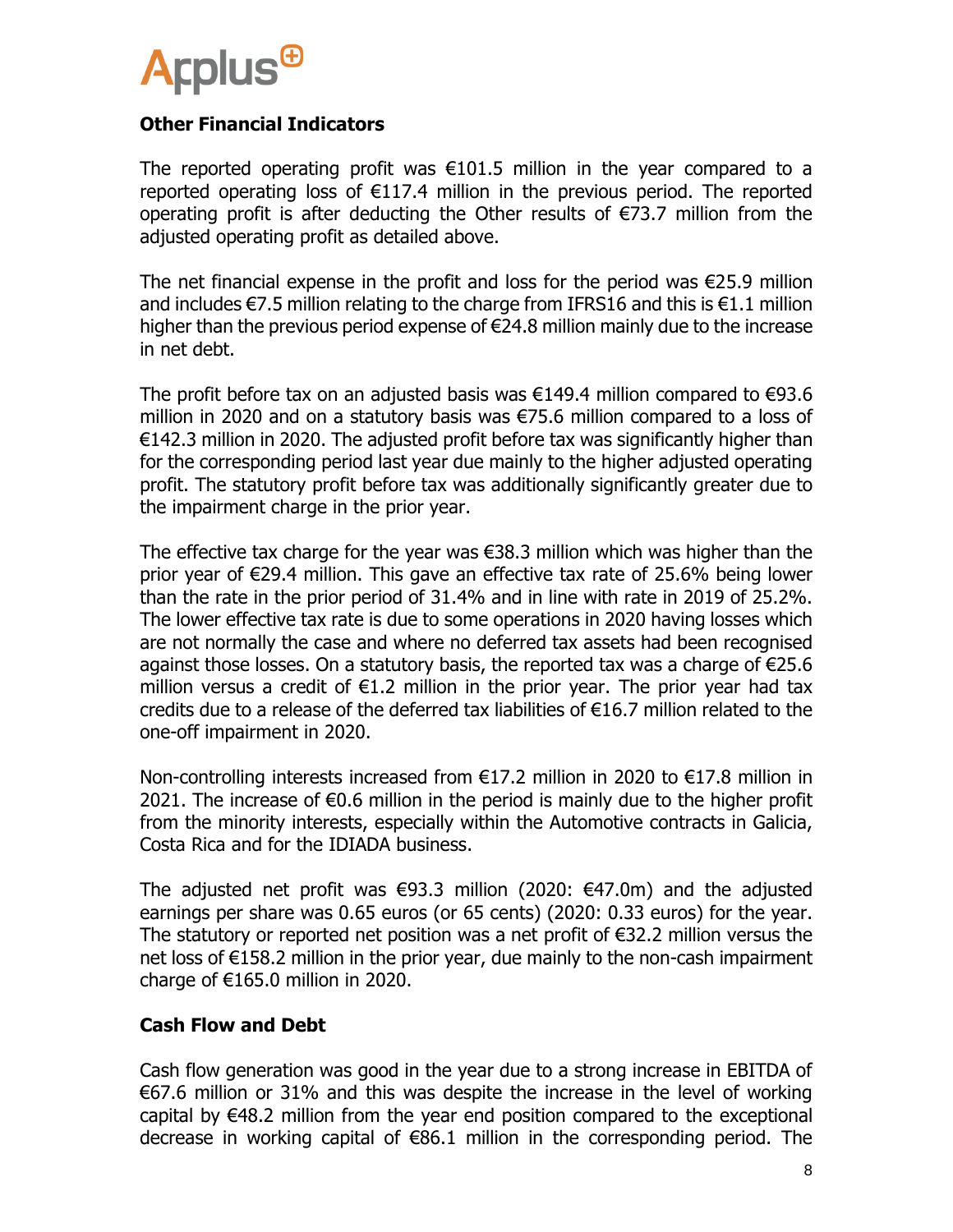

#### **Other Financial Indicators**

The reported operating profit was €101.5 million in the year compared to a reported operating loss of  $E117.4$  million in the previous period. The reported operating profit is after deducting the Other results of €73.7 million from the adjusted operating profit as detailed above.

The net financial expense in the profit and loss for the period was €25.9 million and includes  $\epsilon$ 7.5 million relating to the charge from IFRS16 and this is  $\epsilon$ 1.1 million higher than the previous period expense of  $\epsilon$ 24.8 million mainly due to the increase in net debt.

The profit before tax on an adjusted basis was  $\epsilon$ 149.4 million compared to  $\epsilon$ 93.6 million in 2020 and on a statutory basis was €75.6 million compared to a loss of €142.3 million in 2020. The adjusted profit before tax was significantly higher than for the corresponding period last year due mainly to the higher adjusted operating profit. The statutory profit before tax was additionally significantly greater due to the impairment charge in the prior year.

The effective tax charge for the year was €38.3 million which was higher than the prior year of €29.4 million. This gave an effective tax rate of 25.6% being lower than the rate in the prior period of 31.4% and in line with rate in 2019 of 25.2%. The lower effective tax rate is due to some operations in 2020 having losses which are not normally the case and where no deferred tax assets had been recognised against those losses. On a statutory basis, the reported tax was a charge of €25.6 million versus a credit of  $E1.2$  million in the prior year. The prior year had tax credits due to a release of the deferred tax liabilities of €16.7 million related to the one-off impairment in 2020.

Non-controlling interests increased from €17.2 million in 2020 to €17.8 million in 2021. The increase of €0.6 million in the period is mainly due to the higher profit from the minority interests, especially within the Automotive contracts in Galicia, Costa Rica and for the IDIADA business.

The adjusted net profit was  $\epsilon$ 93.3 million (2020:  $\epsilon$ 47.0m) and the adjusted earnings per share was 0.65 euros (or 65 cents) (2020: 0.33 euros) for the year. The statutory or reported net position was a net profit of €32.2 million versus the net loss of €158.2 million in the prior year, due mainly to the non-cash impairment charge of €165.0 million in 2020.

#### **Cash Flow and Debt**

Cash flow generation was good in the year due to a strong increase in EBITDA of €67.6 million or 31% and this was despite the increase in the level of working capital by €48.2 million from the year end position compared to the exceptional decrease in working capital of €86.1 million in the corresponding period. The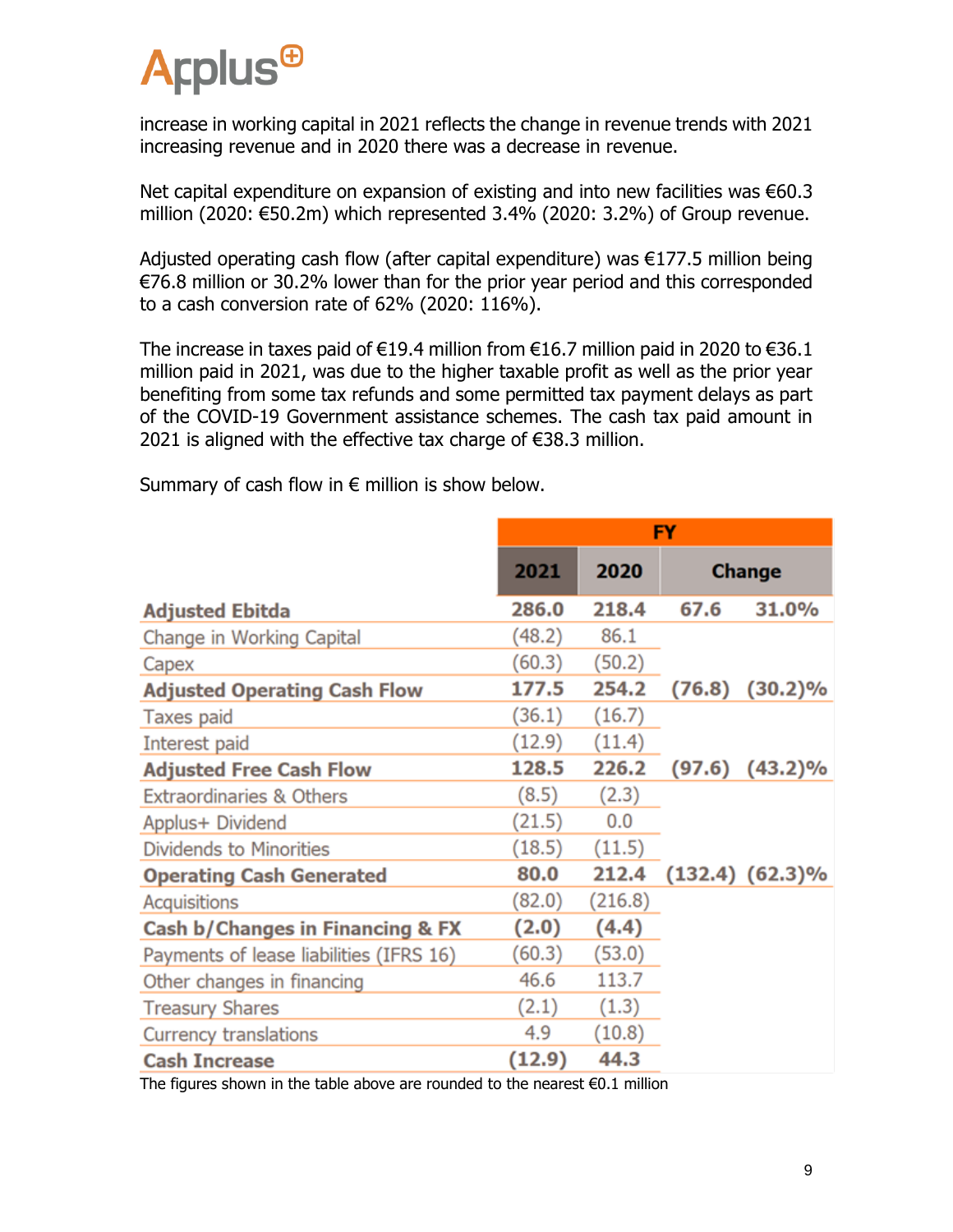

increase in working capital in 2021 reflects the change in revenue trends with 2021 increasing revenue and in 2020 there was a decrease in revenue.

Net capital expenditure on expansion of existing and into new facilities was €60.3 million (2020: €50.2m) which represented 3.4% (2020: 3.2%) of Group revenue.

Adjusted operating cash flow (after capital expenditure) was €177.5 million being €76.8 million or 30.2% lower than for the prior year period and this corresponded to a cash conversion rate of 62% (2020: 116%).

The increase in taxes paid of  $\in$ 19.4 million from  $\in$ 16.7 million paid in 2020 to  $\in$ 36.1 million paid in 2021, was due to the higher taxable profit as well as the prior year benefiting from some tax refunds and some permitted tax payment delays as part of the COVID-19 Government assistance schemes. The cash tax paid amount in 2021 is aligned with the effective tax charge of €38.3 million.

Summary of cash flow in  $\epsilon$  million is show below.

| FY     |         |               |                      |
|--------|---------|---------------|----------------------|
| 2021   | 2020    | <b>Change</b> |                      |
| 286.0  | 218.4   | 67.6          | 31.0%                |
| (48.2) | 86.1    |               |                      |
| (60.3) | (50.2)  |               |                      |
| 177.5  | 254.2   | (76.8)        | $(30.2)\%$           |
| (36.1) | (16.7)  |               |                      |
| (12.9) | (11.4)  |               |                      |
| 128.5  | 226.2   |               | $(97.6)$ $(43.2)\%$  |
| (8.5)  | (2.3)   |               |                      |
| (21.5) | 0.0     |               |                      |
| (18.5) | (11.5)  |               |                      |
| 80.0   | 212.4   |               | $(132.4)$ $(62.3)\%$ |
| (82.0) | (216.8) |               |                      |
| (2.0)  | (4.4)   |               |                      |
| (60.3) | (53.0)  |               |                      |
| 46.6   | 113.7   |               |                      |
| (2.1)  | (1.3)   |               |                      |
| 4.9    | (10.8)  |               |                      |
| (12.9) | 44.3    |               |                      |
|        |         |               |                      |

The figures shown in the table above are rounded to the nearest  $\epsilon 0.1$  million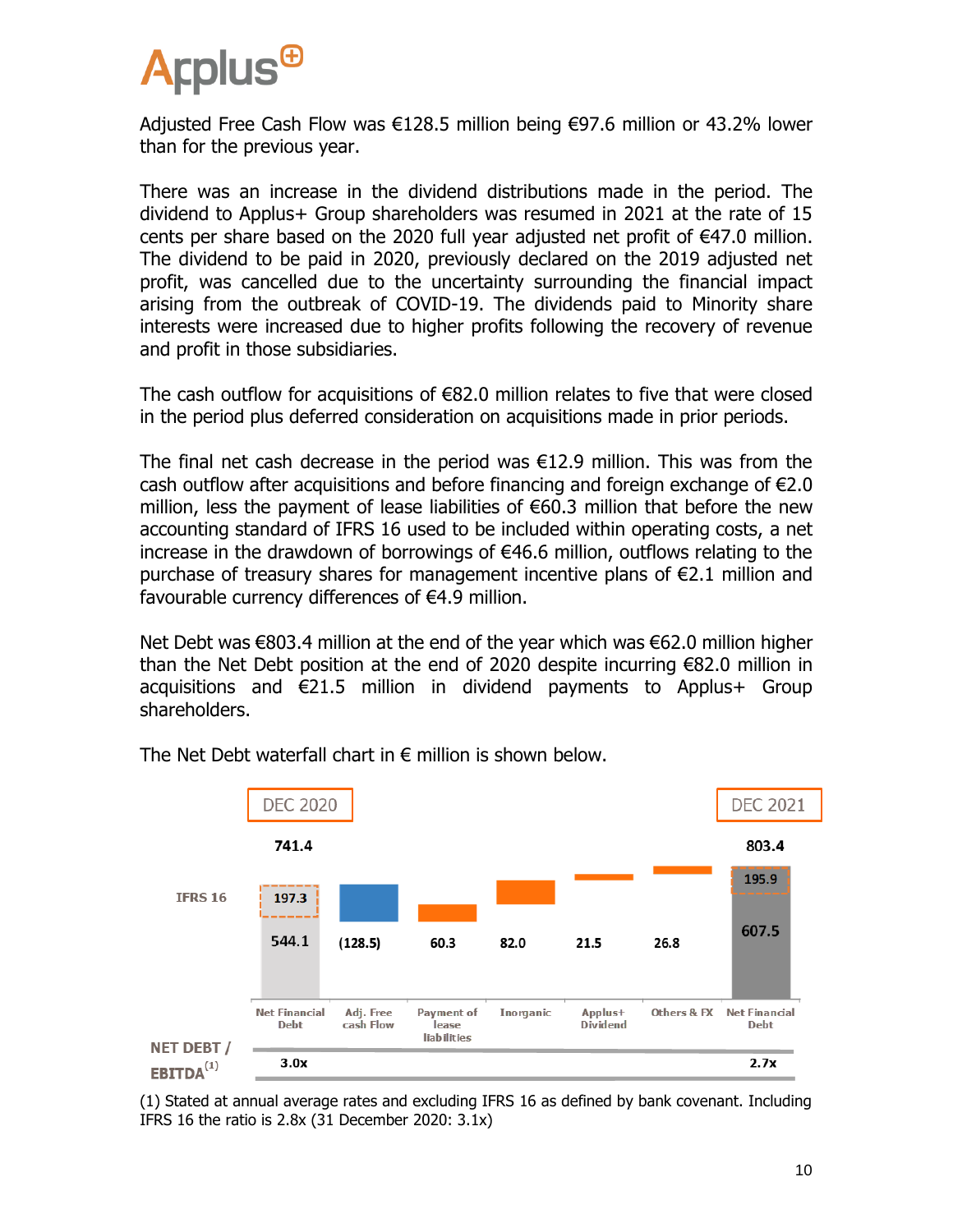

Adjusted Free Cash Flow was €128.5 million being €97.6 million or 43.2% lower than for the previous year.

There was an increase in the dividend distributions made in the period. The dividend to Applus+ Group shareholders was resumed in 2021 at the rate of 15 cents per share based on the 2020 full year adjusted net profit of  $\epsilon$ 47.0 million. The dividend to be paid in 2020, previously declared on the 2019 adjusted net profit, was cancelled due to the uncertainty surrounding the financial impact arising from the outbreak of COVID-19. The dividends paid to Minority share interests were increased due to higher profits following the recovery of revenue and profit in those subsidiaries.

The cash outflow for acquisitions of  $€82.0$  million relates to five that were closed in the period plus deferred consideration on acquisitions made in prior periods.

The final net cash decrease in the period was €12.9 million. This was from the cash outflow after acquisitions and before financing and foreign exchange of  $E2.0$ million, less the payment of lease liabilities of €60.3 million that before the new accounting standard of IFRS 16 used to be included within operating costs, a net increase in the drawdown of borrowings of €46.6 million, outflows relating to the purchase of treasury shares for management incentive plans of €2.1 million and favourable currency differences of  $\epsilon$ 4.9 million.

Net Debt was €803.4 million at the end of the year which was €62.0 million higher than the Net Debt position at the end of 2020 despite incurring €82.0 million in acquisitions and  $\epsilon$ 21.5 million in dividend payments to Applus+ Group shareholders.



The Net Debt waterfall chart in  $\epsilon$  million is shown below.

(1) Stated at annual average rates and excluding IFRS 16 as defined by bank covenant. Including IFRS 16 the ratio is 2.8x (31 December 2020: 3.1x)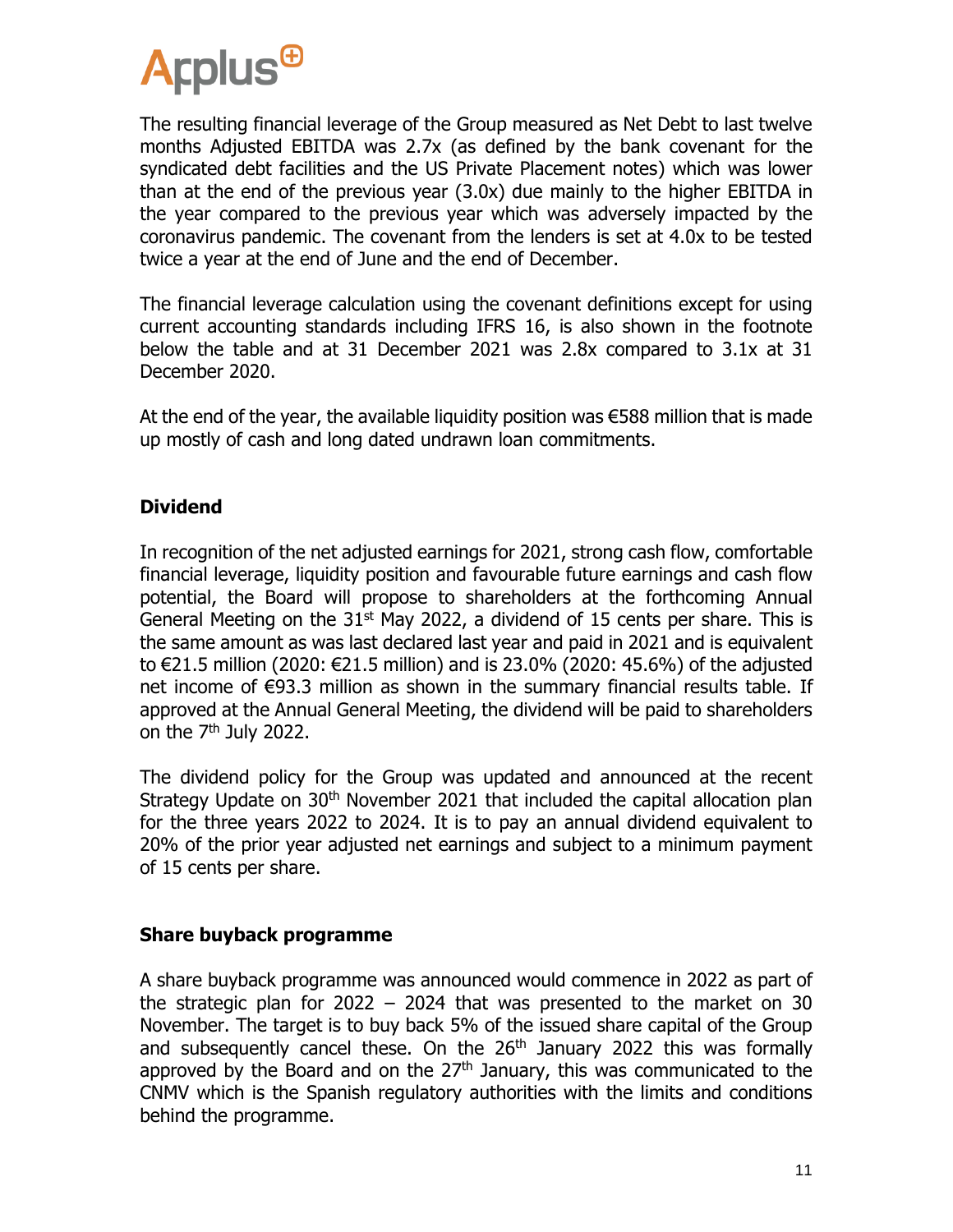

The resulting financial leverage of the Group measured as Net Debt to last twelve months Adjusted EBITDA was 2.7x (as defined by the bank covenant for the syndicated debt facilities and the US Private Placement notes) which was lower than at the end of the previous year (3.0x) due mainly to the higher EBITDA in the year compared to the previous year which was adversely impacted by the coronavirus pandemic. The covenant from the lenders is set at 4.0x to be tested twice a year at the end of June and the end of December.

The financial leverage calculation using the covenant definitions except for using current accounting standards including IFRS 16, is also shown in the footnote below the table and at 31 December 2021 was 2.8x compared to 3.1x at 31 December 2020.

At the end of the year, the available liquidity position was €588 million that is made up mostly of cash and long dated undrawn loan commitments.

#### **Dividend**

In recognition of the net adjusted earnings for 2021, strong cash flow, comfortable financial leverage, liquidity position and favourable future earnings and cash flow potential, the Board will propose to shareholders at the forthcoming Annual General Meeting on the  $31<sup>st</sup>$  May 2022, a dividend of 15 cents per share. This is the same amount as was last declared last year and paid in 2021 and is equivalent to €21.5 million (2020: €21.5 million) and is 23.0% (2020: 45.6%) of the adjusted net income of €93.3 million as shown in the summary financial results table. If approved at the Annual General Meeting, the dividend will be paid to shareholders on the 7<sup>th</sup> July 2022.

The dividend policy for the Group was updated and announced at the recent Strategy Update on  $30<sup>th</sup>$  November 2021 that included the capital allocation plan for the three years 2022 to 2024. It is to pay an annual dividend equivalent to 20% of the prior year adjusted net earnings and subject to a minimum payment of 15 cents per share.

#### **Share buyback programme**

A share buyback programme was announced would commence in 2022 as part of the strategic plan for 2022 – 2024 that was presented to the market on 30 November. The target is to buy back 5% of the issued share capital of the Group and subsequently cancel these. On the 26<sup>th</sup> January 2022 this was formally approved by the Board and on the  $27<sup>th</sup>$  January, this was communicated to the CNMV which is the Spanish regulatory authorities with the limits and conditions behind the programme.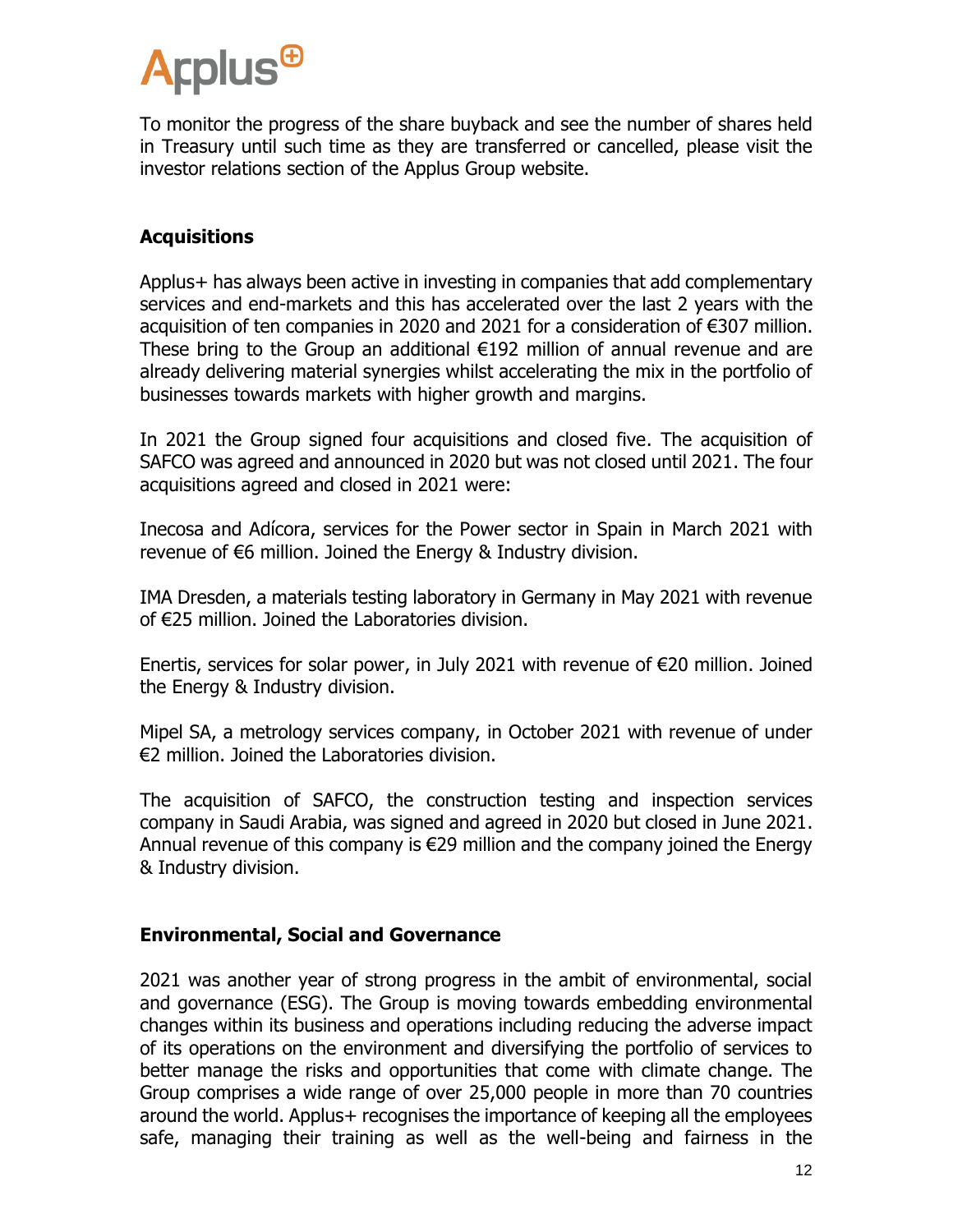To monitor the progress of the share buyback and see the number of shares held in Treasury until such time as they are transferred or cancelled, please visit the investor relations section of the Applus Group website.

#### **Acquisitions**

Applus+ has always been active in investing in companies that add complementary services and end-markets and this has accelerated over the last 2 years with the acquisition of ten companies in 2020 and 2021 for a consideration of €307 million. These bring to the Group an additional €192 million of annual revenue and are already delivering material synergies whilst accelerating the mix in the portfolio of businesses towards markets with higher growth and margins.

In 2021 the Group signed four acquisitions and closed five. The acquisition of SAFCO was agreed and announced in 2020 but was not closed until 2021. The four acquisitions agreed and closed in 2021 were:

Inecosa and Adícora, services for the Power sector in Spain in March 2021 with revenue of €6 million. Joined the Energy & Industry division.

IMA Dresden, a materials testing laboratory in Germany in May 2021 with revenue of €25 million. Joined the Laboratories division.

Enertis, services for solar power, in July 2021 with revenue of €20 million. Joined the Energy & Industry division.

Mipel SA, a metrology services company, in October 2021 with revenue of under €2 million. Joined the Laboratories division.

The acquisition of SAFCO, the construction testing and inspection services company in Saudi Arabia, was signed and agreed in 2020 but closed in June 2021. Annual revenue of this company is €29 million and the company joined the Energy & Industry division.

#### **Environmental, Social and Governance**

2021 was another year of strong progress in the ambit of environmental, social and governance (ESG). The Group is moving towards embedding environmental changes within its business and operations including reducing the adverse impact of its operations on the environment and diversifying the portfolio of services to better manage the risks and opportunities that come with climate change. The Group comprises a wide range of over 25,000 people in more than 70 countries around the world. Applus+ recognises the importance of keeping all the employees safe, managing their training as well as the well-being and fairness in the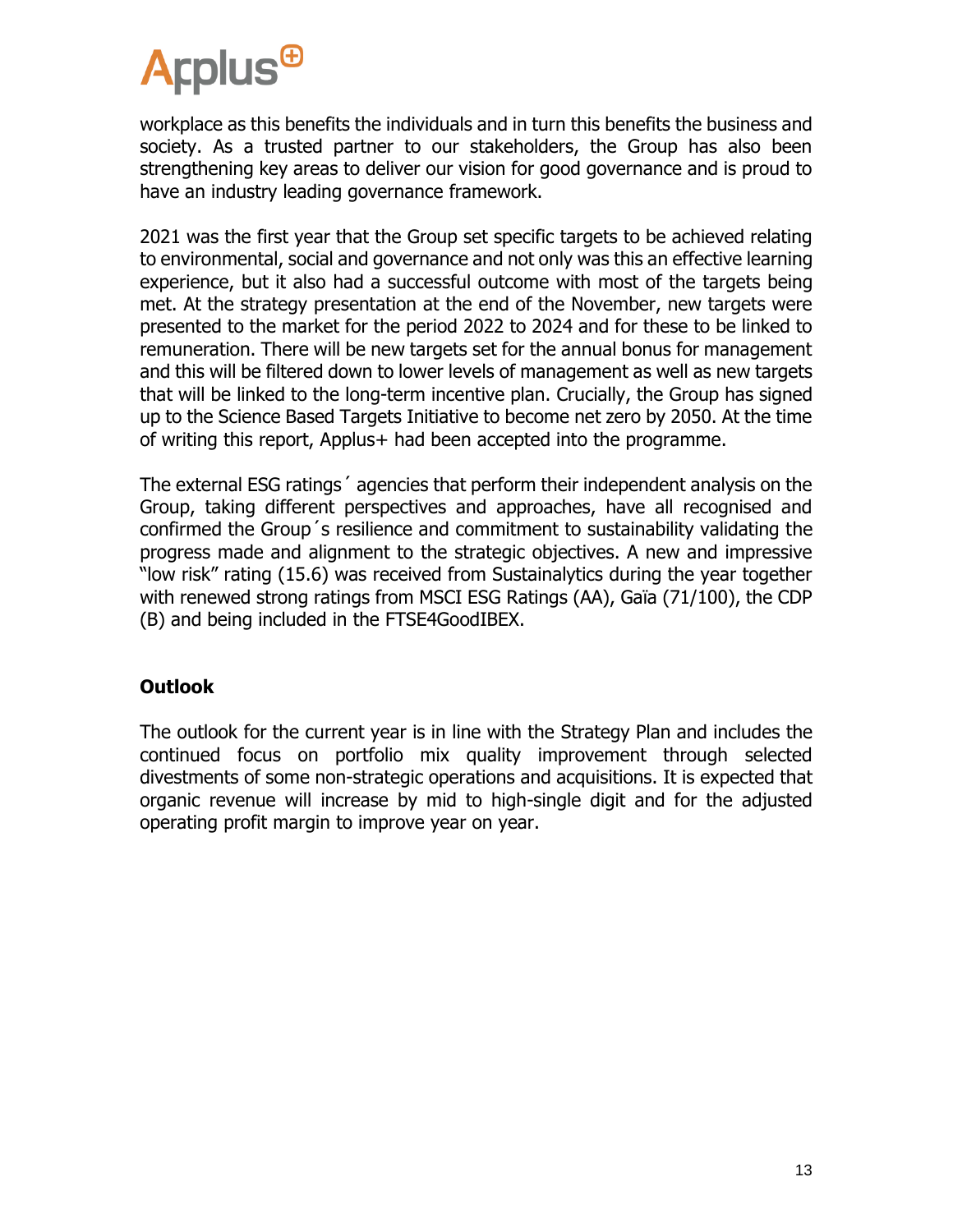

workplace as this benefits the individuals and in turn this benefits the business and society. As a trusted partner to our stakeholders, the Group has also been strengthening key areas to deliver our vision for good governance and is proud to have an industry leading governance framework.

2021 was the first year that the Group set specific targets to be achieved relating to environmental, social and governance and not only was this an effective learning experience, but it also had a successful outcome with most of the targets being met. At the strategy presentation at the end of the November, new targets were presented to the market for the period 2022 to 2024 and for these to be linked to remuneration. There will be new targets set for the annual bonus for management and this will be filtered down to lower levels of management as well as new targets that will be linked to the long-term incentive plan. Crucially, the Group has signed up to the Science Based Targets Initiative to become net zero by 2050. At the time of writing this report, Applus+ had been accepted into the programme.

The external ESG ratings´ agencies that perform their independent analysis on the Group, taking different perspectives and approaches, have all recognised and confirmed the Group´s resilience and commitment to sustainability validating the progress made and alignment to the strategic objectives. A new and impressive "low risk" rating (15.6) was received from Sustainalytics during the year together with renewed strong ratings from MSCI ESG Ratings (AA), Gaïa (71/100), the CDP (B) and being included in the FTSE4GoodIBEX.

#### **Outlook**

The outlook for the current year is in line with the Strategy Plan and includes the continued focus on portfolio mix quality improvement through selected divestments of some non-strategic operations and acquisitions. It is expected that organic revenue will increase by mid to high-single digit and for the adjusted operating profit margin to improve year on year.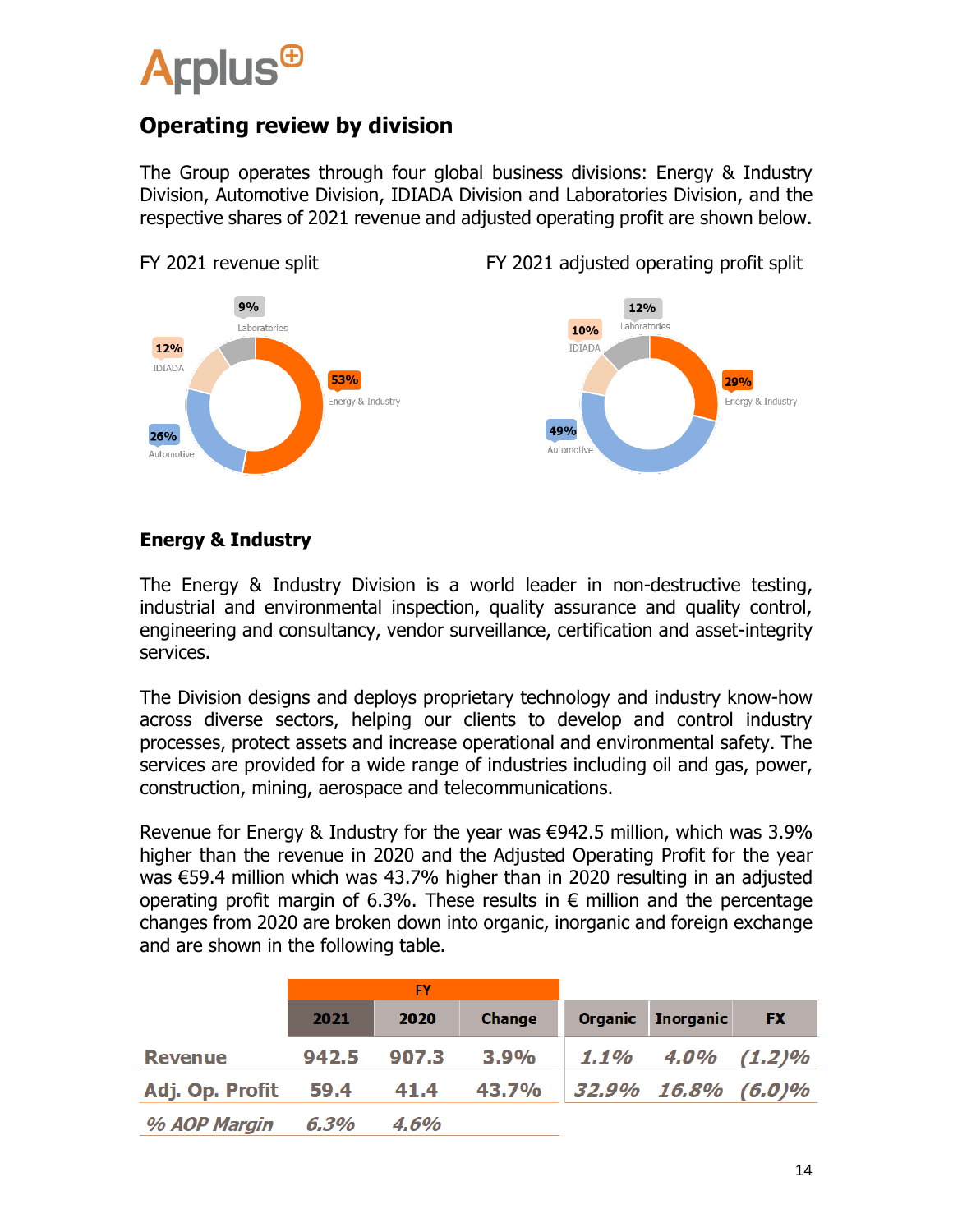

### **Operating review by division**

The Group operates through four global business divisions: Energy & Industry Division, Automotive Division, IDIADA Division and Laboratories Division, and the respective shares of 2021 revenue and adjusted operating profit are shown below.



**Energy & Industry**

The Energy & Industry Division is a world leader in non-destructive testing, industrial and environmental inspection, quality assurance and quality control, engineering and consultancy, vendor surveillance, certification and asset-integrity services.

The Division designs and deploys proprietary technology and industry know-how across diverse sectors, helping our clients to develop and control industry processes, protect assets and increase operational and environmental safety. The services are provided for a wide range of industries including oil and gas, power, construction, mining, aerospace and telecommunications.

Revenue for Energy & Industry for the year was €942.5 million, which was 3.9% higher than the revenue in 2020 and the Adjusted Operating Profit for the year was €59.4 million which was 43.7% higher than in 2020 resulting in an adjusted operating profit margin of 6.3%. These results in  $\epsilon$  million and the percentage changes from 2020 are broken down into organic, inorganic and foreign exchange and are shown in the following table.

|                 | <b>FY</b> |       |               |                          |                           |           |
|-----------------|-----------|-------|---------------|--------------------------|---------------------------|-----------|
|                 | 2021      | 2020  | <b>Change</b> | <b>Organic</b>           | <b>Inorganic</b>          | <b>FX</b> |
| <b>Revenue</b>  | 942.5     | 907.3 | 3.9%          |                          | $1.1\%$ $4.0\%$ $(1.2)\%$ |           |
| Adj. Op. Profit | 59.4      | 41.4  |               | 43.7% 32.9% 16.8% (6.0)% |                           |           |
| % AOP Margin    | 6.3%      | 4.6%  |               |                          |                           |           |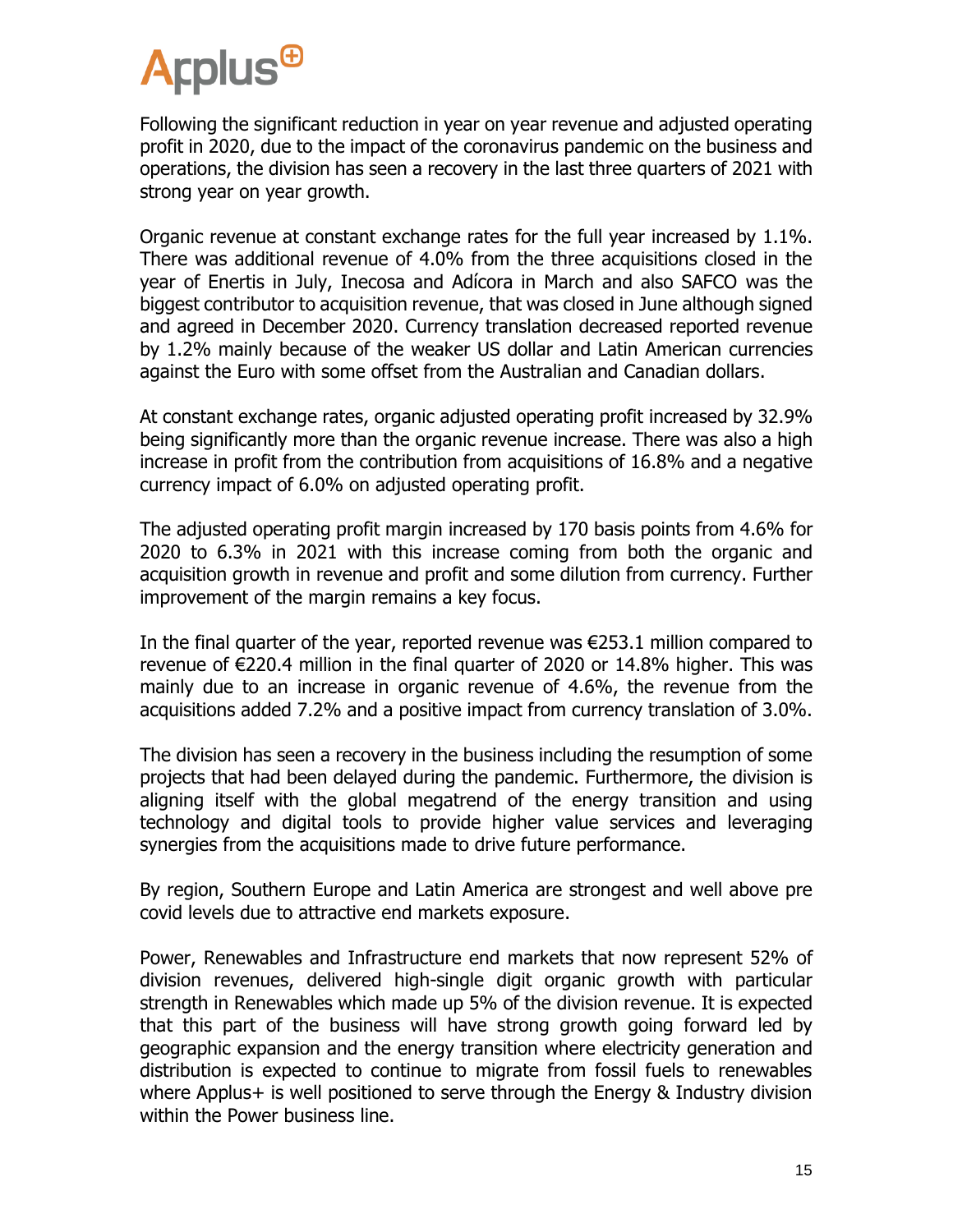Following the significant reduction in year on year revenue and adjusted operating profit in 2020, due to the impact of the coronavirus pandemic on the business and operations, the division has seen a recovery in the last three quarters of 2021 with strong year on year growth.

Organic revenue at constant exchange rates for the full year increased by 1.1%. There was additional revenue of 4.0% from the three acquisitions closed in the year of Enertis in July, Inecosa and Adícora in March and also SAFCO was the biggest contributor to acquisition revenue, that was closed in June although signed and agreed in December 2020. Currency translation decreased reported revenue by 1.2% mainly because of the weaker US dollar and Latin American currencies against the Euro with some offset from the Australian and Canadian dollars.

At constant exchange rates, organic adjusted operating profit increased by 32.9% being significantly more than the organic revenue increase. There was also a high increase in profit from the contribution from acquisitions of 16.8% and a negative currency impact of 6.0% on adjusted operating profit.

The adjusted operating profit margin increased by 170 basis points from 4.6% for 2020 to 6.3% in 2021 with this increase coming from both the organic and acquisition growth in revenue and profit and some dilution from currency. Further improvement of the margin remains a key focus.

In the final quarter of the year, reported revenue was €253.1 million compared to revenue of €220.4 million in the final quarter of 2020 or 14.8% higher. This was mainly due to an increase in organic revenue of 4.6%, the revenue from the acquisitions added 7.2% and a positive impact from currency translation of 3.0%.

The division has seen a recovery in the business including the resumption of some projects that had been delayed during the pandemic. Furthermore, the division is aligning itself with the global megatrend of the energy transition and using technology and digital tools to provide higher value services and leveraging synergies from the acquisitions made to drive future performance.

By region, Southern Europe and Latin America are strongest and well above pre covid levels due to attractive end markets exposure.

Power, Renewables and Infrastructure end markets that now represent 52% of division revenues, delivered high-single digit organic growth with particular strength in Renewables which made up 5% of the division revenue. It is expected that this part of the business will have strong growth going forward led by geographic expansion and the energy transition where electricity generation and distribution is expected to continue to migrate from fossil fuels to renewables where Applus+ is well positioned to serve through the Energy & Industry division within the Power business line.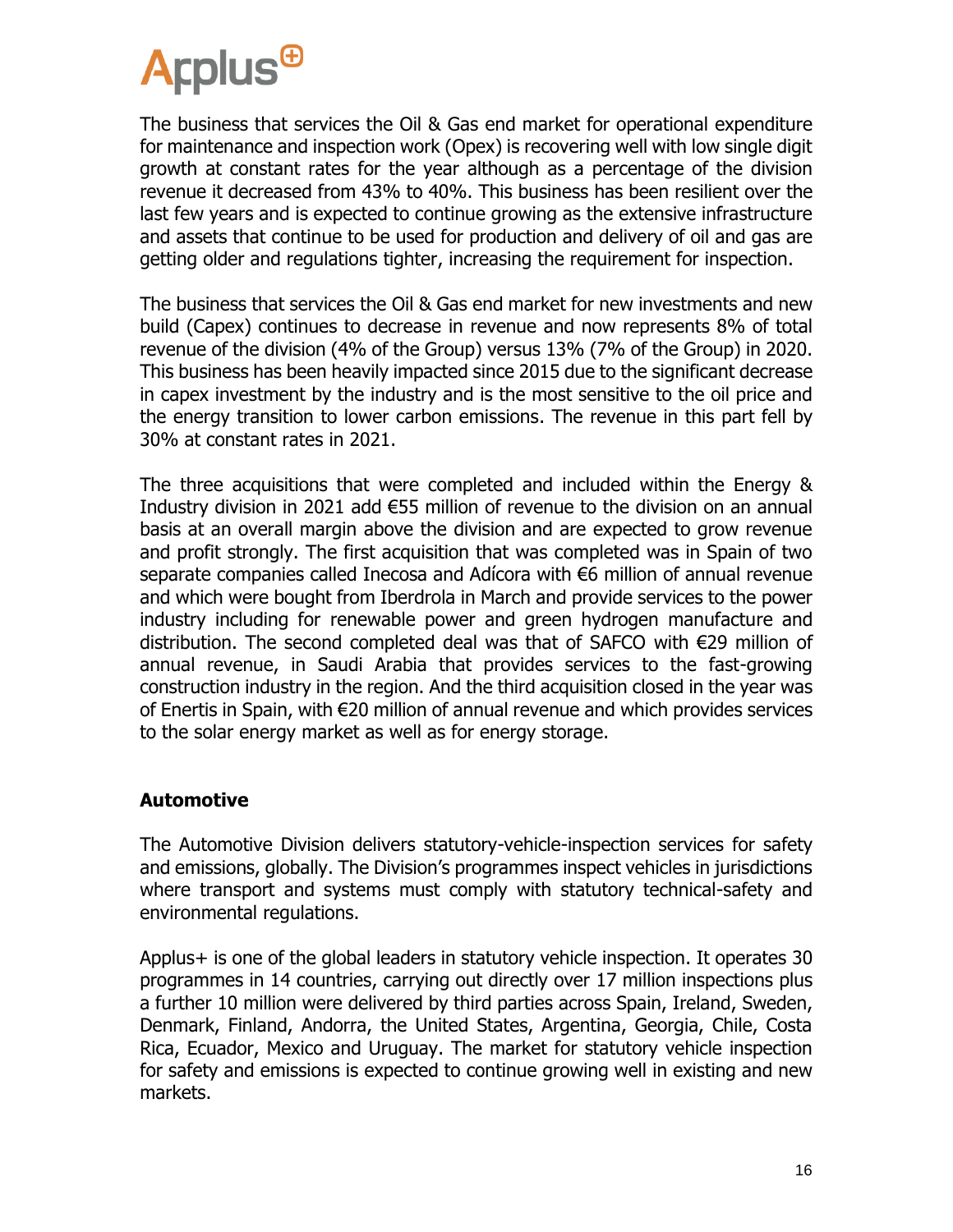

The business that services the Oil & Gas end market for operational expenditure for maintenance and inspection work (Opex) is recovering well with low single digit growth at constant rates for the year although as a percentage of the division revenue it decreased from 43% to 40%. This business has been resilient over the last few years and is expected to continue growing as the extensive infrastructure and assets that continue to be used for production and delivery of oil and gas are getting older and regulations tighter, increasing the requirement for inspection.

The business that services the Oil & Gas end market for new investments and new build (Capex) continues to decrease in revenue and now represents 8% of total revenue of the division (4% of the Group) versus 13% (7% of the Group) in 2020. This business has been heavily impacted since 2015 due to the significant decrease in capex investment by the industry and is the most sensitive to the oil price and the energy transition to lower carbon emissions. The revenue in this part fell by 30% at constant rates in 2021.

The three acquisitions that were completed and included within the Energy & Industry division in 2021 add €55 million of revenue to the division on an annual basis at an overall margin above the division and are expected to grow revenue and profit strongly. The first acquisition that was completed was in Spain of two separate companies called Inecosa and Adícora with €6 million of annual revenue and which were bought from Iberdrola in March and provide services to the power industry including for renewable power and green hydrogen manufacture and distribution. The second completed deal was that of SAFCO with €29 million of annual revenue, in Saudi Arabia that provides services to the fast-growing construction industry in the region. And the third acquisition closed in the year was of Enertis in Spain, with €20 million of annual revenue and which provides services to the solar energy market as well as for energy storage.

#### **Automotive**

The Automotive Division delivers statutory-vehicle-inspection services for safety and emissions, globally. The Division's programmes inspect vehicles in jurisdictions where transport and systems must comply with statutory technical-safety and environmental regulations.

Applus+ is one of the global leaders in statutory vehicle inspection. It operates 30 programmes in 14 countries, carrying out directly over 17 million inspections plus a further 10 million were delivered by third parties across Spain, Ireland, Sweden, Denmark, Finland, Andorra, the United States, Argentina, Georgia, Chile, Costa Rica, Ecuador, Mexico and Uruguay. The market for statutory vehicle inspection for safety and emissions is expected to continue growing well in existing and new markets.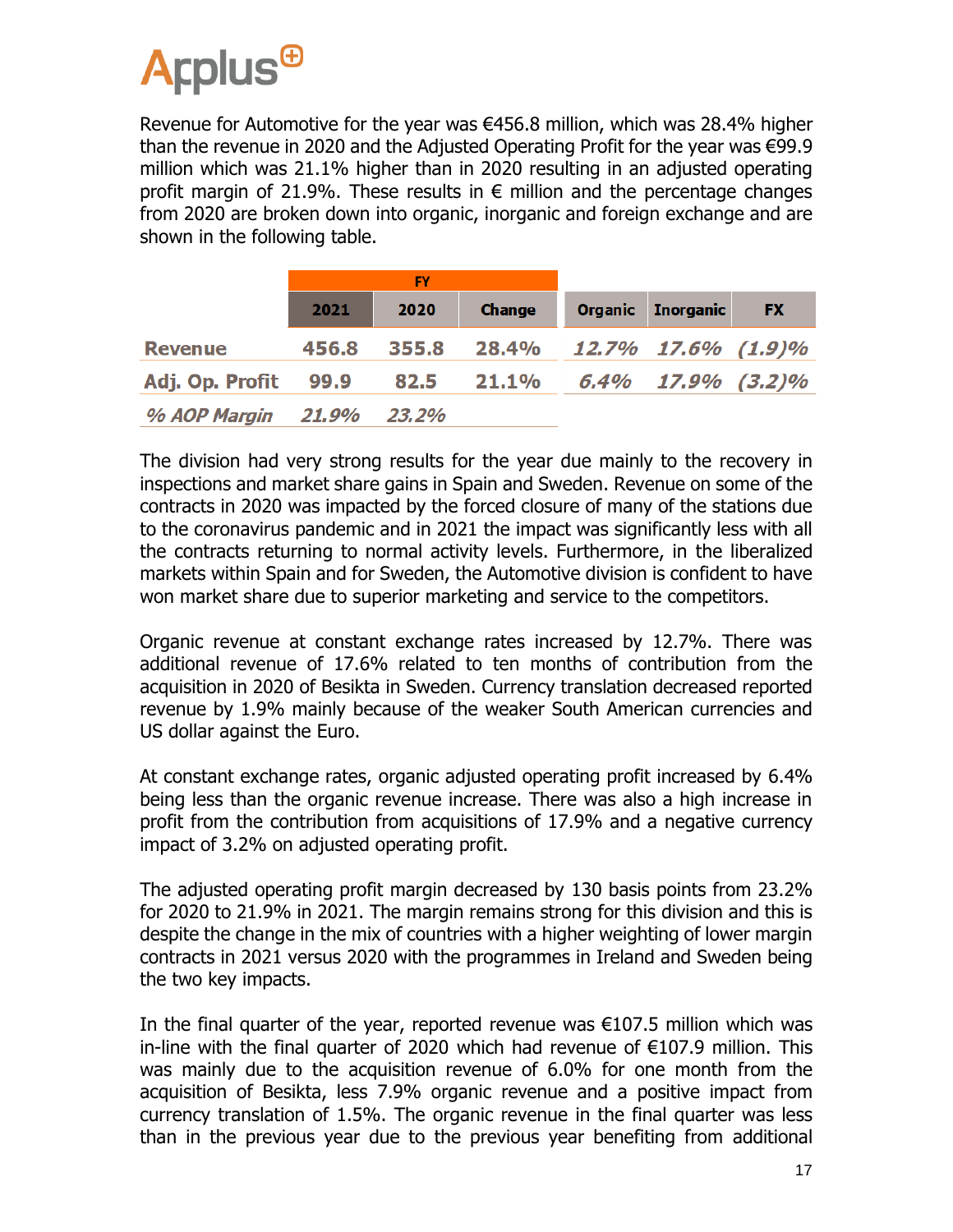Revenue for Automotive for the year was €456.8 million, which was 28.4% higher than the revenue in 2020 and the Adjusted Operating Profit for the year was €99.9 million which was 21.1% higher than in 2020 resulting in an adjusted operating profit margin of 21.9%. These results in  $\epsilon$  million and the percentage changes from 2020 are broken down into organic, inorganic and foreign exchange and are shown in the following table.

|                 | <b>FY</b> |       |                          |                |                   |           |
|-----------------|-----------|-------|--------------------------|----------------|-------------------|-----------|
|                 | 2021      | 2020  | <b>Change</b>            | <b>Organic</b> | <b>Inorganic</b>  | <b>FX</b> |
| <b>Revenue</b>  | 456.8     | 355.8 | 28.4% 12.7% 17.6% (1.9)% |                |                   |           |
| Adj. Op. Profit | 99.9      | 82.5  | 21.1%                    |                | 6.4% 17.9% (3.2)% |           |
| % AOP Margin    | 21.9%     | 23.2% |                          |                |                   |           |

The division had very strong results for the year due mainly to the recovery in inspections and market share gains in Spain and Sweden. Revenue on some of the contracts in 2020 was impacted by the forced closure of many of the stations due to the coronavirus pandemic and in 2021 the impact was significantly less with all the contracts returning to normal activity levels. Furthermore, in the liberalized markets within Spain and for Sweden, the Automotive division is confident to have won market share due to superior marketing and service to the competitors.

Organic revenue at constant exchange rates increased by 12.7%. There was additional revenue of 17.6% related to ten months of contribution from the acquisition in 2020 of Besikta in Sweden. Currency translation decreased reported revenue by 1.9% mainly because of the weaker South American currencies and US dollar against the Euro.

At constant exchange rates, organic adjusted operating profit increased by 6.4% being less than the organic revenue increase. There was also a high increase in profit from the contribution from acquisitions of 17.9% and a negative currency impact of 3.2% on adjusted operating profit.

The adjusted operating profit margin decreased by 130 basis points from 23.2% for 2020 to 21.9% in 2021. The margin remains strong for this division and this is despite the change in the mix of countries with a higher weighting of lower margin contracts in 2021 versus 2020 with the programmes in Ireland and Sweden being the two key impacts.

In the final quarter of the year, reported revenue was  $\epsilon$ 107.5 million which was in-line with the final quarter of 2020 which had revenue of €107.9 million. This was mainly due to the acquisition revenue of 6.0% for one month from the acquisition of Besikta, less 7.9% organic revenue and a positive impact from currency translation of 1.5%. The organic revenue in the final quarter was less than in the previous year due to the previous year benefiting from additional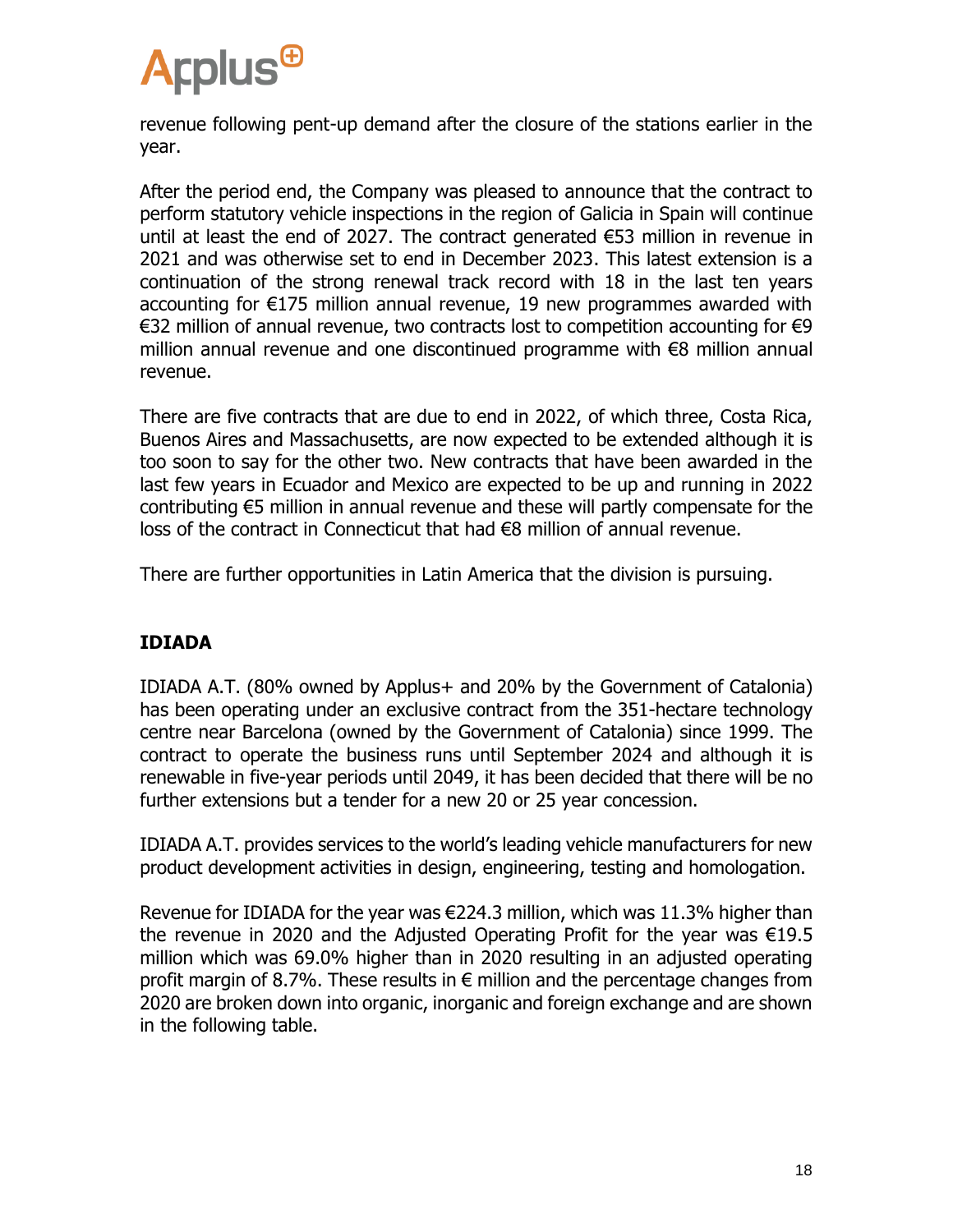

revenue following pent-up demand after the closure of the stations earlier in the year.

After the period end, the Company was pleased to announce that the contract to perform statutory vehicle inspections in the region of Galicia in Spain will continue until at least the end of 2027. The contract generated  $\epsilon$ 53 million in revenue in 2021 and was otherwise set to end in December 2023. This latest extension is a continuation of the strong renewal track record with 18 in the last ten years accounting for €175 million annual revenue, 19 new programmes awarded with €32 million of annual revenue, two contracts lost to competition accounting for €9 million annual revenue and one discontinued programme with €8 million annual revenue.

There are five contracts that are due to end in 2022, of which three, Costa Rica, Buenos Aires and Massachusetts, are now expected to be extended although it is too soon to say for the other two. New contracts that have been awarded in the last few years in Ecuador and Mexico are expected to be up and running in 2022 contributing €5 million in annual revenue and these will partly compensate for the loss of the contract in Connecticut that had €8 million of annual revenue.

There are further opportunities in Latin America that the division is pursuing.

#### **IDIADA**

IDIADA A.T. (80% owned by Applus+ and 20% by the Government of Catalonia) has been operating under an exclusive contract from the 351-hectare technology centre near Barcelona (owned by the Government of Catalonia) since 1999. The contract to operate the business runs until September 2024 and although it is renewable in five-year periods until 2049, it has been decided that there will be no further extensions but a tender for a new 20 or 25 year concession.

IDIADA A.T. provides services to the world's leading vehicle manufacturers for new product development activities in design, engineering, testing and homologation.

Revenue for IDIADA for the year was €224.3 million, which was 11.3% higher than the revenue in 2020 and the Adjusted Operating Profit for the year was €19.5 million which was 69.0% higher than in 2020 resulting in an adjusted operating profit margin of 8.7%. These results in  $\epsilon$  million and the percentage changes from 2020 are broken down into organic, inorganic and foreign exchange and are shown in the following table.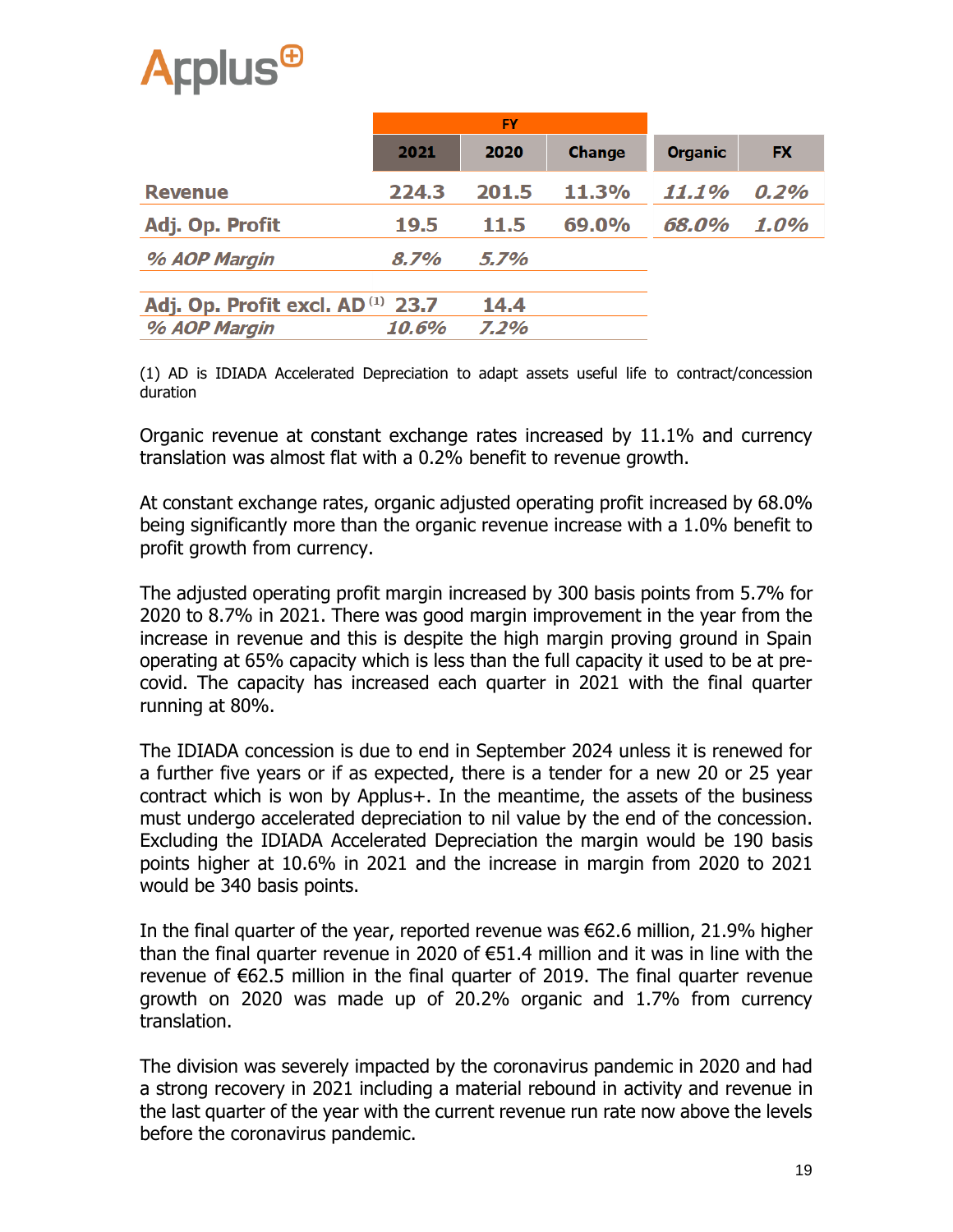|                                       | <b>FY</b> |         |               |                |           |
|---------------------------------------|-----------|---------|---------------|----------------|-----------|
|                                       | 2021      | 2020    | <b>Change</b> | <b>Organic</b> | <b>FX</b> |
| <b>Revenue</b>                        | 224.3     | 201.5   | <b>11.3%</b>  | 11.1%          | 0.2%      |
| Adj. Op. Profit                       | 19.5      | 11.5    | 69.0%         | 68.0%          | 1.0%      |
| % AOP Margin                          | 8.7%      | $5.7\%$ |               |                |           |
| Adj. Op. Profit excl. $AD^{(1)}$ 23.7 |           | 14.4    |               |                |           |
| % AOP Margin                          | 10.6%     | 7.2%    |               |                |           |

(1) AD is IDIADA Accelerated Depreciation to adapt assets useful life to contract/concession duration

Organic revenue at constant exchange rates increased by 11.1% and currency translation was almost flat with a 0.2% benefit to revenue growth.

At constant exchange rates, organic adjusted operating profit increased by 68.0% being significantly more than the organic revenue increase with a 1.0% benefit to profit growth from currency.

The adjusted operating profit margin increased by 300 basis points from 5.7% for 2020 to 8.7% in 2021. There was good margin improvement in the year from the increase in revenue and this is despite the high margin proving ground in Spain operating at 65% capacity which is less than the full capacity it used to be at precovid. The capacity has increased each quarter in 2021 with the final quarter running at 80%.

The IDIADA concession is due to end in September 2024 unless it is renewed for a further five years or if as expected, there is a tender for a new 20 or 25 year contract which is won by Applus+. In the meantime, the assets of the business must undergo accelerated depreciation to nil value by the end of the concession. Excluding the IDIADA Accelerated Depreciation the margin would be 190 basis points higher at 10.6% in 2021 and the increase in margin from 2020 to 2021 would be 340 basis points.

In the final quarter of the year, reported revenue was €62.6 million, 21.9% higher than the final quarter revenue in 2020 of €51.4 million and it was in line with the revenue of €62.5 million in the final quarter of 2019. The final quarter revenue growth on 2020 was made up of 20.2% organic and 1.7% from currency translation.

The division was severely impacted by the coronavirus pandemic in 2020 and had a strong recovery in 2021 including a material rebound in activity and revenue in the last quarter of the year with the current revenue run rate now above the levels before the coronavirus pandemic.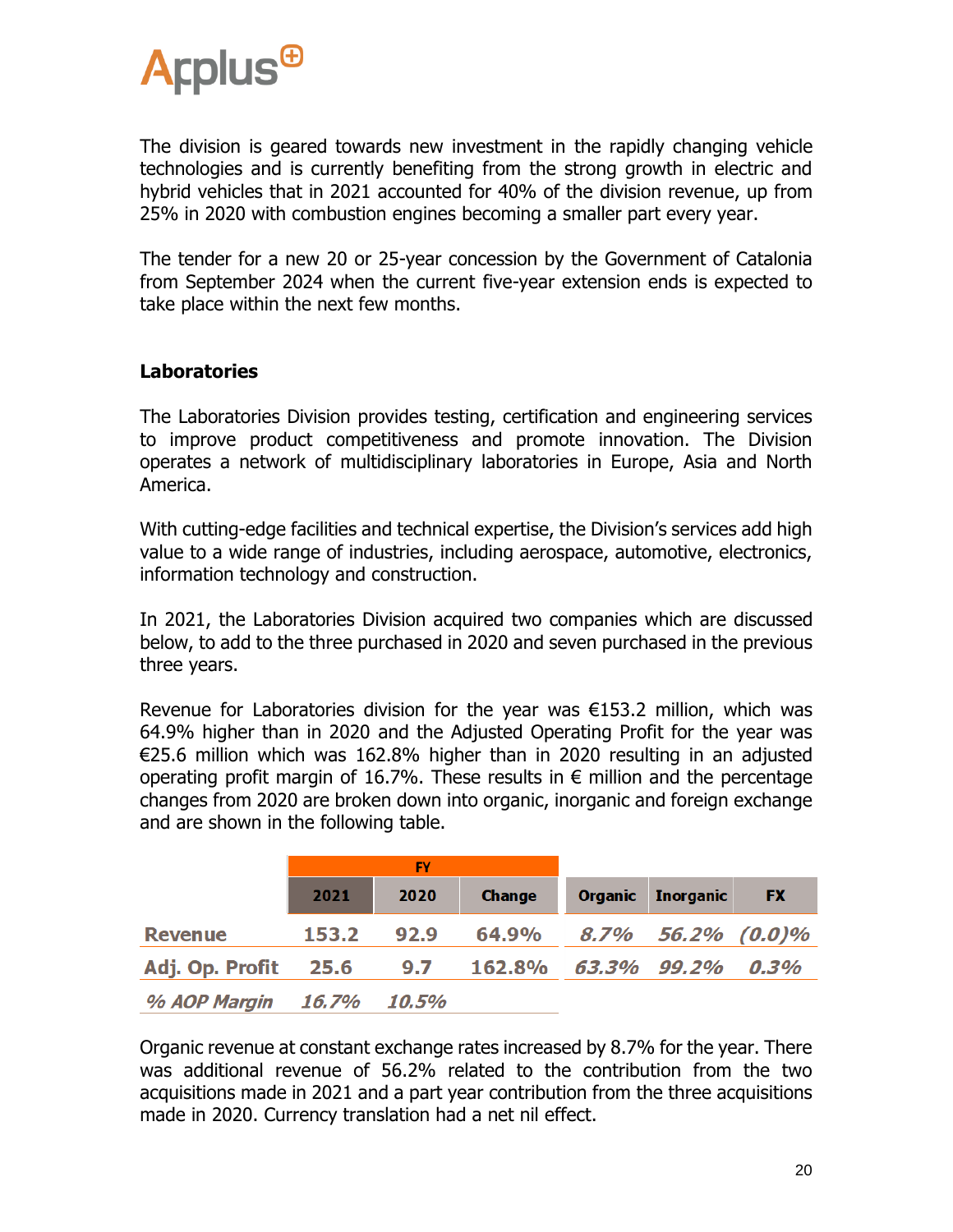

The division is geared towards new investment in the rapidly changing vehicle technologies and is currently benefiting from the strong growth in electric and hybrid vehicles that in 2021 accounted for 40% of the division revenue, up from 25% in 2020 with combustion engines becoming a smaller part every year.

The tender for a new 20 or 25-year concession by the Government of Catalonia from September 2024 when the current five-year extension ends is expected to take place within the next few months.

#### **Laboratories**

The Laboratories Division provides testing, certification and engineering services to improve product competitiveness and promote innovation. The Division operates a network of multidisciplinary laboratories in Europe, Asia and North America.

With cutting-edge facilities and technical expertise, the Division's services add high value to a wide range of industries, including aerospace, automotive, electronics, information technology and construction.

In 2021, the Laboratories Division acquired two companies which are discussed below, to add to the three purchased in 2020 and seven purchased in the previous three years.

Revenue for Laboratories division for the year was  $E153.2$  million, which was 64.9% higher than in 2020 and the Adjusted Operating Profit for the year was €25.6 million which was 162.8% higher than in 2020 resulting in an adjusted operating profit margin of 16.7%. These results in  $\epsilon$  million and the percentage changes from 2020 are broken down into organic, inorganic and foreign exchange and are shown in the following table.

|                 | <b>FY</b> |       |                         |  |                          |           |
|-----------------|-----------|-------|-------------------------|--|--------------------------|-----------|
|                 | 2021      | 2020  | <b>Change</b>           |  | <b>Organic</b> Inorganic | <b>FX</b> |
| <b>Revenue</b>  | 153.2     | 92.9  | 64.9% 8.7% 56.2% (0.0)% |  |                          |           |
| Adj. Op. Profit | 25.6      | 9.7   | 162.8% 63.3% 99.2%      |  |                          | 0.3%      |
| % AOP Margin    | 16.7%     | 10.5% |                         |  |                          |           |

Organic revenue at constant exchange rates increased by 8.7% for the year. There was additional revenue of 56.2% related to the contribution from the two acquisitions made in 2021 and a part year contribution from the three acquisitions made in 2020. Currency translation had a net nil effect.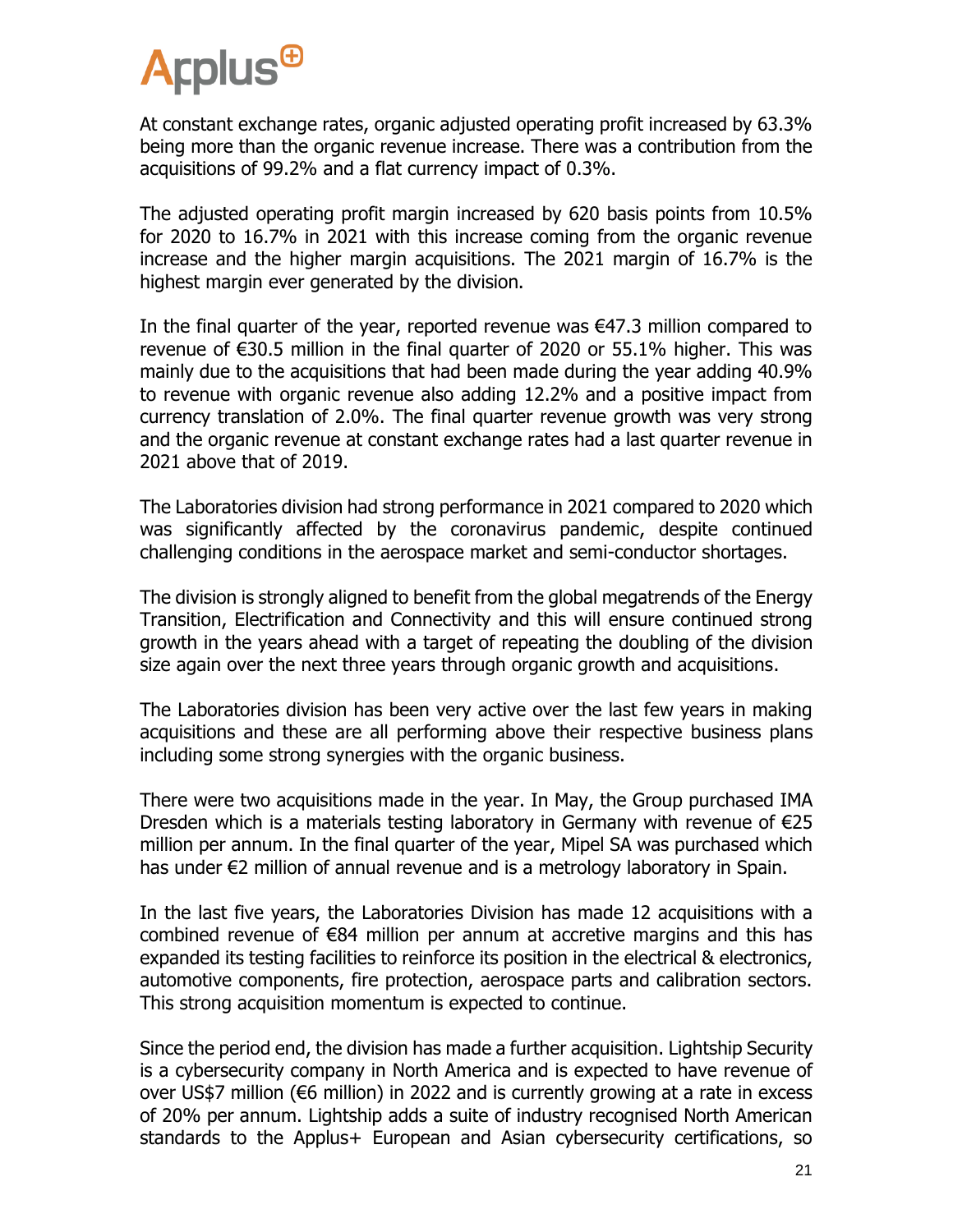

At constant exchange rates, organic adjusted operating profit increased by 63.3% being more than the organic revenue increase. There was a contribution from the acquisitions of 99.2% and a flat currency impact of 0.3%.

The adjusted operating profit margin increased by 620 basis points from 10.5% for 2020 to 16.7% in 2021 with this increase coming from the organic revenue increase and the higher margin acquisitions. The 2021 margin of 16.7% is the highest margin ever generated by the division.

In the final quarter of the year, reported revenue was €47.3 million compared to revenue of €30.5 million in the final quarter of 2020 or 55.1% higher. This was mainly due to the acquisitions that had been made during the year adding 40.9% to revenue with organic revenue also adding 12.2% and a positive impact from currency translation of 2.0%. The final quarter revenue growth was very strong and the organic revenue at constant exchange rates had a last quarter revenue in 2021 above that of 2019.

The Laboratories division had strong performance in 2021 compared to 2020 which was significantly affected by the coronavirus pandemic, despite continued challenging conditions in the aerospace market and semi-conductor shortages.

The division is strongly aligned to benefit from the global megatrends of the Energy Transition, Electrification and Connectivity and this will ensure continued strong growth in the years ahead with a target of repeating the doubling of the division size again over the next three years through organic growth and acquisitions.

The Laboratories division has been very active over the last few years in making acquisitions and these are all performing above their respective business plans including some strong synergies with the organic business.

There were two acquisitions made in the year. In May, the Group purchased IMA Dresden which is a materials testing laboratory in Germany with revenue of €25 million per annum. In the final quarter of the year, Mipel SA was purchased which has under €2 million of annual revenue and is a metrology laboratory in Spain.

In the last five years, the Laboratories Division has made 12 acquisitions with a combined revenue of €84 million per annum at accretive margins and this has expanded its testing facilities to reinforce its position in the electrical & electronics, automotive components, fire protection, aerospace parts and calibration sectors. This strong acquisition momentum is expected to continue.

Since the period end, the division has made a further acquisition. Lightship Security is a cybersecurity company in North America and is expected to have revenue of over US\$7 million (€6 million) in 2022 and is currently growing at a rate in excess of 20% per annum. Lightship adds a suite of industry recognised North American standards to the Applus+ European and Asian cybersecurity certifications, so